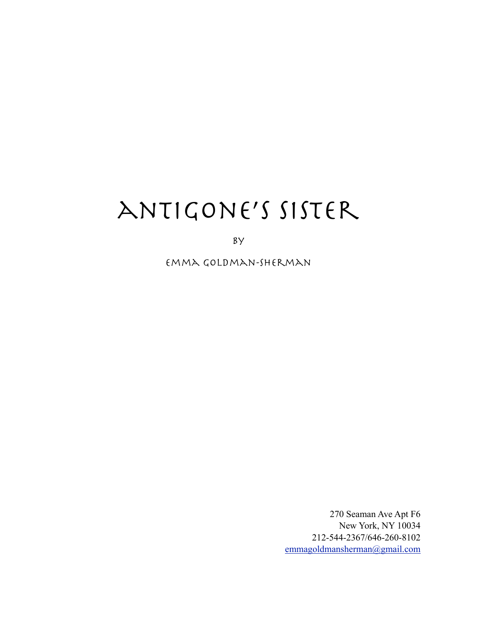# antigone's sister

by

emma goldman-Sherman

270 Seaman Ave Apt F6 New York, NY 10034 212-544-2367/646-260-8102 [emmagoldmansherman@gmail.com](mailto:emmagoldmansherman@gmail.com)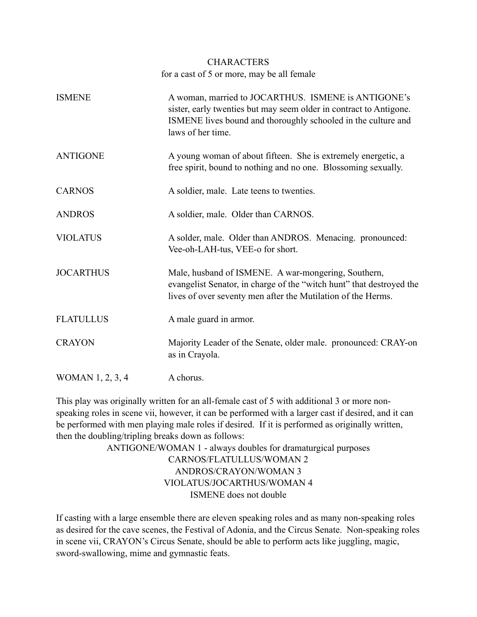# **CHARACTERS** for a cast of 5 or more, may be all female

| <b>ISMENE</b>    | A woman, married to JOCARTHUS. ISMENE is ANTIGONE's<br>sister, early twenties but may seem older in contract to Antigone.<br>ISMENE lives bound and thoroughly schooled in the culture and<br>laws of her time. |
|------------------|-----------------------------------------------------------------------------------------------------------------------------------------------------------------------------------------------------------------|
| <b>ANTIGONE</b>  | A young woman of about fifteen. She is extremely energetic, a<br>free spirit, bound to nothing and no one. Blossoming sexually.                                                                                 |
| <b>CARNOS</b>    | A soldier, male. Late teens to twenties.                                                                                                                                                                        |
| <b>ANDROS</b>    | A soldier, male. Older than CARNOS.                                                                                                                                                                             |
| <b>VIOLATUS</b>  | A solder, male. Older than ANDROS. Menacing. pronounced:<br>Vee-oh-LAH-tus, VEE-o for short.                                                                                                                    |
| <b>JOCARTHUS</b> | Male, husband of ISMENE. A war-mongering, Southern,<br>evangelist Senator, in charge of the "witch hunt" that destroyed the<br>lives of over seventy men after the Mutilation of the Herms.                     |
| <b>FLATULLUS</b> | A male guard in armor.                                                                                                                                                                                          |
| <b>CRAYON</b>    | Majority Leader of the Senate, older male. pronounced: CRAY-on<br>as in Crayola.                                                                                                                                |
| WOMAN 1, 2, 3, 4 | A chorus.                                                                                                                                                                                                       |

This play was originally written for an all-female cast of 5 with additional 3 or more nonspeaking roles in scene vii, however, it can be performed with a larger cast if desired, and it can be performed with men playing male roles if desired. If it is performed as originally written, then the doubling/tripling breaks down as follows:

> ANTIGONE/WOMAN 1 - always doubles for dramaturgical purposes CARNOS/FLATULLUS/WOMAN 2 ANDROS/CRAYON/WOMAN 3 VIOLATUS/JOCARTHUS/WOMAN 4 ISMENE does not double

If casting with a large ensemble there are eleven speaking roles and as many non-speaking roles as desired for the cave scenes, the Festival of Adonia, and the Circus Senate. Non-speaking roles in scene vii, CRAYON's Circus Senate, should be able to perform acts like juggling, magic, sword-swallowing, mime and gymnastic feats.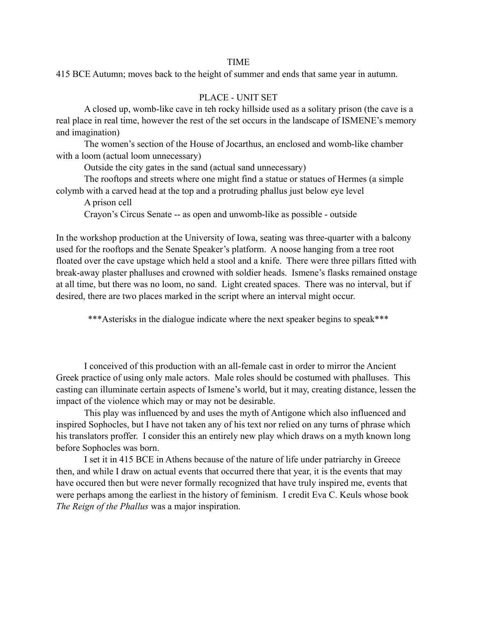#### TIME

415 BCE Autumn; moves back to the height of summer and ends that same year in autumn.

#### PLACE - UNIT SET

 A closed up, womb-like cave in teh rocky hillside used as a solitary prison (the cave is a real place in real time, however the rest of the set occurs in the landscape of ISMENE's memory and imagination)

 The women's section of the House of Jocarthus, an enclosed and womb-like chamber with a loom (actual loom unnecessary)

Outside the city gates in the sand (actual sand unnecessary)

 The rooftops and streets where one might find a statue or statues of Hermes (a simple colymb with a carved head at the top and a protruding phallus just below eye level

A prison cell

Crayon's Circus Senate -- as open and unwomb-like as possible - outside

In the workshop production at the University of Iowa, seating was three-quarter with a balcony used for the rooftops and the Senate Speaker's platform. A noose hanging from a tree root floated over the cave upstage which held a stool and a knife. There were three pillars fitted with break-away plaster phalluses and crowned with soldier heads. Ismene's flasks remained onstage at all time, but there was no loom, no sand. Light created spaces. There was no interval, but if desired, there are two places marked in the script where an interval might occur.

\*\*\*Asterisks in the dialogue indicate where the next speaker begins to speak\*\*\*

 I conceived of this production with an all-female cast in order to mirror the Ancient Greek practice of using only male actors. Male roles should be costumed with phalluses. This casting can illuminate certain aspects of Ismene's world, but it may, creating distance, lessen the impact of the violence which may or may not be desirable.

 This play was influenced by and uses the myth of Antigone which also influenced and inspired Sophocles, but I have not taken any of his text nor relied on any turns of phrase which his translators proffer. I consider this an entirely new play which draws on a myth known long before Sophocles was born.

 I set it in 415 BCE in Athens because of the nature of life under patriarchy in Greece then, and while I draw on actual events that occurred there that year, it is the events that may have occured then but were never formally recognized that have truly inspired me, events that were perhaps among the earliest in the history of feminism. I credit Eva C. Keuls whose book *The Reign of the Phallus* was a major inspiration.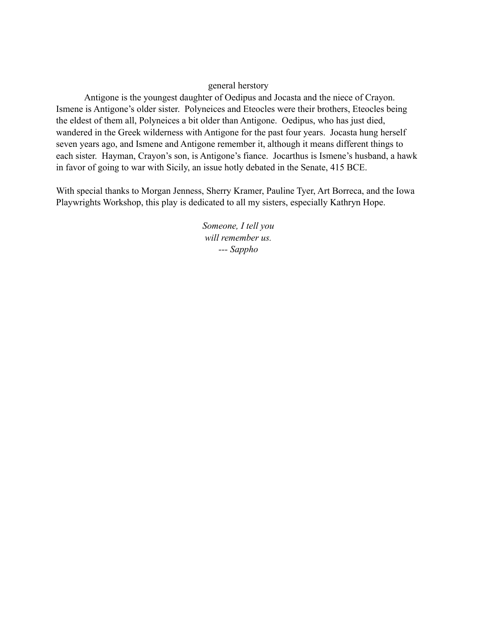# general herstory

 Antigone is the youngest daughter of Oedipus and Jocasta and the niece of Crayon. Ismene is Antigone's older sister. Polyneices and Eteocles were their brothers, Eteocles being the eldest of them all, Polyneices a bit older than Antigone. Oedipus, who has just died, wandered in the Greek wilderness with Antigone for the past four years. Jocasta hung herself seven years ago, and Ismene and Antigone remember it, although it means different things to each sister. Hayman, Crayon's son, is Antigone's fiance. Jocarthus is Ismene's husband, a hawk in favor of going to war with Sicily, an issue hotly debated in the Senate, 415 BCE.

With special thanks to Morgan Jenness, Sherry Kramer, Pauline Tyer, Art Borreca, and the Iowa Playwrights Workshop, this play is dedicated to all my sisters, especially Kathryn Hope.

> *Someone, I tell you will remember us. --- Sappho*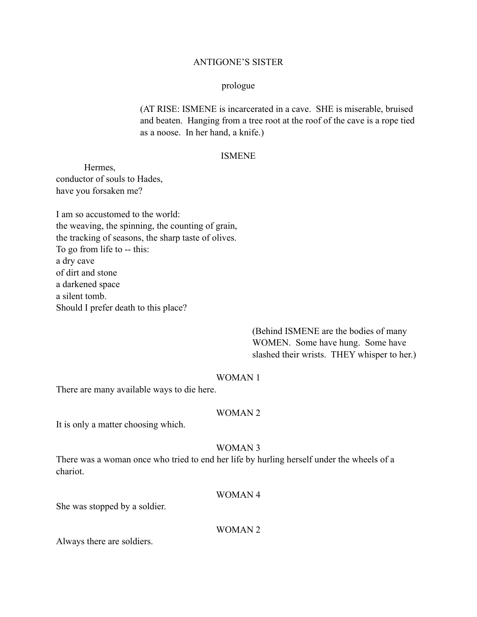# ANTIGONE'S SISTER

#### prologue

 (AT RISE: ISMENE is incarcerated in a cave. SHE is miserable, bruised and beaten. Hanging from a tree root at the roof of the cave is a rope tied as a noose. In her hand, a knife.)

#### ISMENE

 Hermes, conductor of souls to Hades, have you forsaken me?

I am so accustomed to the world: the weaving, the spinning, the counting of grain, the tracking of seasons, the sharp taste of olives. To go from life to -- this: a dry cave of dirt and stone a darkened space a silent tomb. Should I prefer death to this place?

> (Behind ISMENE are the bodies of many WOMEN. Some have hung. Some have slashed their wrists. THEY whisper to her.)

# WOMAN 1

There are many available ways to die here.

# WOMAN 2

It is only a matter choosing which.

# WOMAN 3

There was a woman once who tried to end her life by hurling herself under the wheels of a chariot.

# WOMAN 4

She was stopped by a soldier.

WOMAN 2

Always there are soldiers.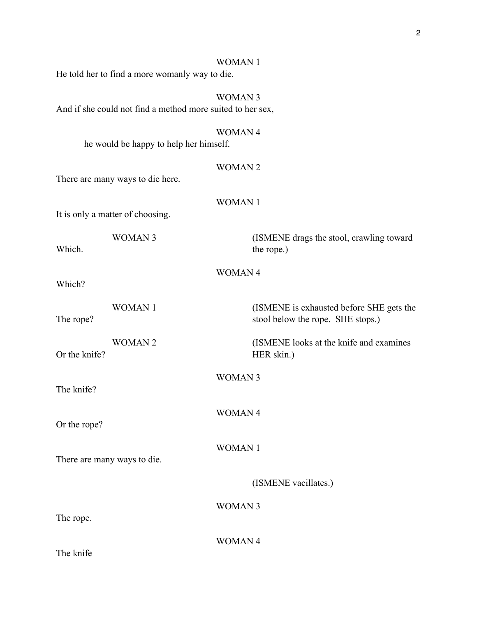#### WOMAN 1

He told her to find a more womanly way to die.

WOMAN 3 And if she could not find a method more suited to her sex, WOMAN 4 he would be happy to help her himself. WOMAN 2 There are many ways to die here. WOMAN 1 It is only a matter of choosing. WOMAN 3 (ISMENE drags the stool, crawling toward Which. the rope.)

WOMAN 4

Which?

WOMAN 1 (ISMENE is exhausted before SHE gets the The rope? stool below the rope. SHE stops.)

WOMAN 2 (ISMENE looks at the knife and examines Or the knife? HER skin.)

The knife?

Or the rope?

WOMAN 1

WOMAN 3

WOMAN 4

There are many ways to die.

(ISMENE vacillates.)

WOMAN 3

The rope.

WOMAN 4

The knife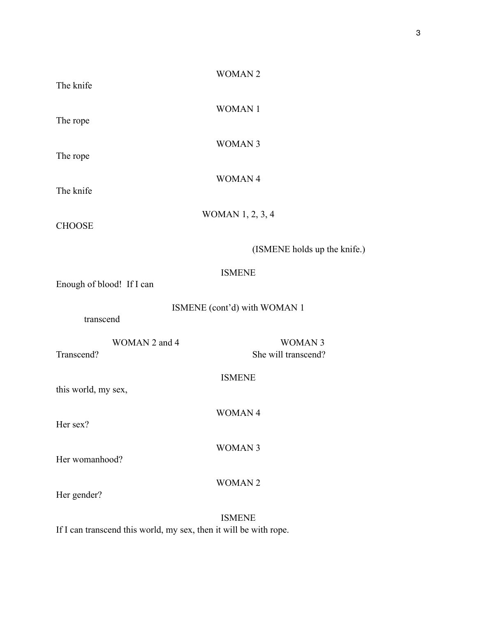| The knife                   | <b>WOMAN2</b>                        |
|-----------------------------|--------------------------------------|
| The rope                    | <b>WOMAN1</b>                        |
| The rope                    | <b>WOMAN 3</b>                       |
| The knife                   | WOMAN 4                              |
| <b>CHOOSE</b>               | WOMAN 1, 2, 3, 4                     |
|                             | (ISMENE holds up the knife.)         |
| Enough of blood! If I can   | <b>ISMENE</b>                        |
| transcend                   | ISMENE (cont'd) with WOMAN 1         |
| WOMAN 2 and 4<br>Transcend? | <b>WOMAN3</b><br>She will transcend? |
| this world, my sex,         | <b>ISMENE</b>                        |
| Her sex?                    | <b>WOMAN4</b>                        |
| Her womanhood?              | <b>WOMAN 3</b>                       |
| Her gender?                 | <b>WOMAN2</b>                        |

ISMENE If I can transcend this world, my sex, then it will be with rope.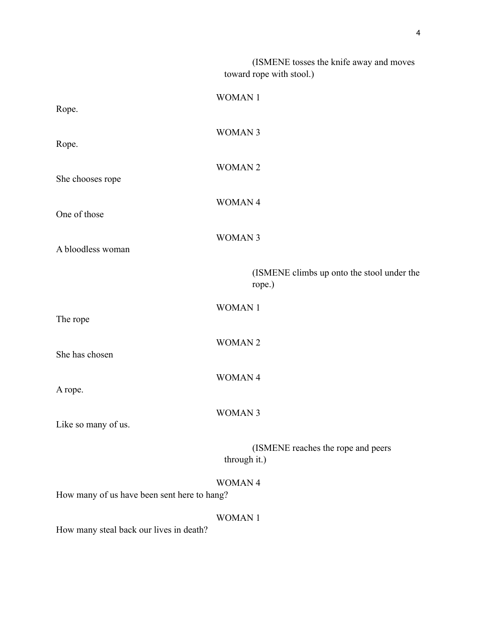(ISMENE tosses the knife away and moves toward rope with stool.) WOMAN 1 Rope. WOMAN 3 Rope. WOMAN 2 She chooses rope WOMAN 4 One of those WOMAN 3 A bloodless woman (ISMENE climbs up onto the stool under the rope.) WOMAN 1 The rope WOMAN 2 She has chosen WOMAN 4 A rope. WOMAN 3 Like so many of us. (ISMENE reaches the rope and peers through it.) WOMAN 4 How many of us have been sent here to hang? WOMAN 1 How many steal back our lives in death?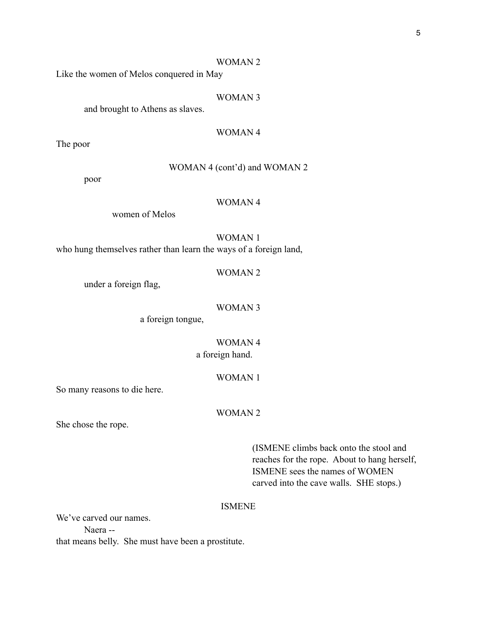#### WOMAN 2

Like the women of Melos conquered in May

#### WOMAN 3

and brought to Athens as slaves.

#### WOMAN 4

The poor

# WOMAN 4 (cont'd) and WOMAN 2

poor

# WOMAN 4

women of Melos

# WOMAN 1

who hung themselves rather than learn the ways of a foreign land,

#### WOMAN 2

under a foreign flag,

#### WOMAN 3

a foreign tongue,

# WOMAN 4 a foreign hand.

#### WOMAN 1

So many reasons to die here.

# WOMAN 2

She chose the rope.

 (ISMENE climbs back onto the stool and reaches for the rope. About to hang herself, ISMENE sees the names of WOMEN carved into the cave walls. SHE stops.)

#### ISMENE

We've carved our names. Naera - that means belly. She must have been a prostitute.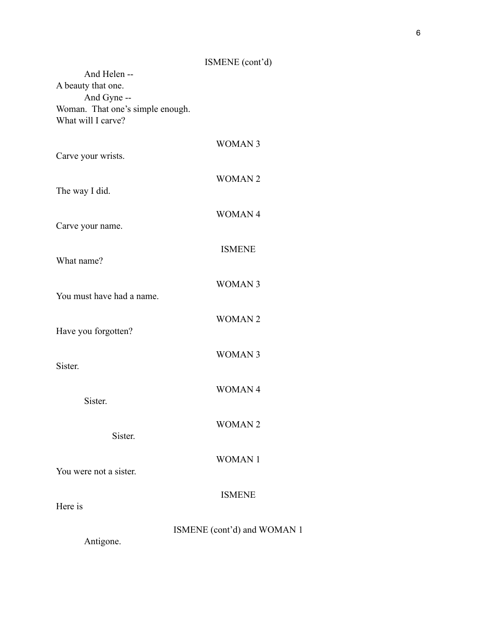# ISMENE (cont'd)

| And Helen --<br>A beauty that one.                                    |                             |
|-----------------------------------------------------------------------|-----------------------------|
| And Gyne --<br>Woman. That one's simple enough.<br>What will I carve? |                             |
| Carve your wrists.                                                    | <b>WOMAN3</b>               |
| The way I did.                                                        | <b>WOMAN2</b>               |
| Carve your name.                                                      | <b>WOMAN4</b>               |
| What name?                                                            | <b>ISMENE</b>               |
| You must have had a name.                                             | <b>WOMAN3</b>               |
| Have you forgotten?                                                   | <b>WOMAN2</b>               |
| Sister.                                                               | <b>WOMAN3</b>               |
| Sister.                                                               | <b>WOMAN4</b>               |
| Sister.                                                               | <b>WOMAN2</b>               |
| You were not a sister.                                                | <b>WOMAN1</b>               |
| Here is                                                               | <b>ISMENE</b>               |
| Antigone.                                                             | ISMENE (cont'd) and WOMAN 1 |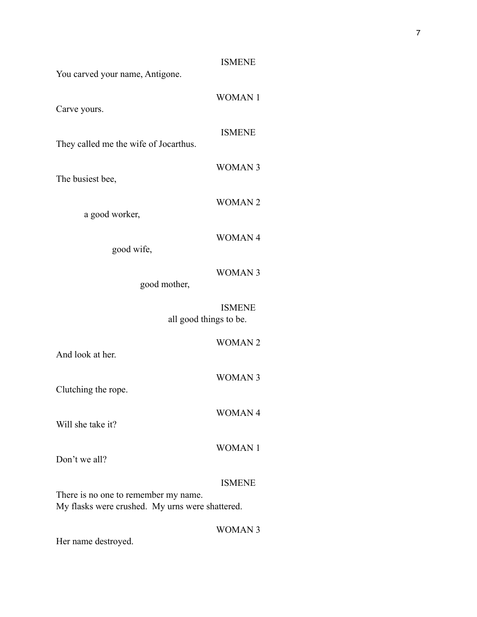|                                                 | <b>ISMENE</b> |
|-------------------------------------------------|---------------|
| You carved your name, Antigone.                 |               |
|                                                 |               |
|                                                 | <b>WOMAN1</b> |
| Carve yours.                                    |               |
|                                                 |               |
|                                                 | <b>ISMENE</b> |
| They called me the wife of Jocarthus.           |               |
|                                                 | <b>WOMAN3</b> |
| The busiest bee,                                |               |
|                                                 |               |
|                                                 | <b>WOMAN2</b> |
| a good worker,                                  |               |
|                                                 |               |
|                                                 | <b>WOMAN4</b> |
| good wife,                                      |               |
|                                                 |               |
|                                                 | <b>WOMAN3</b> |
| good mother,                                    |               |
|                                                 |               |
|                                                 |               |
|                                                 | <b>ISMENE</b> |
| all good things to be.                          |               |
|                                                 |               |
|                                                 | <b>WOMAN2</b> |
| And look at her.                                |               |
|                                                 |               |
|                                                 | <b>WOMAN3</b> |
| Clutching the rope.                             |               |
|                                                 |               |
|                                                 | <b>WOMAN4</b> |
| Will she take it?                               |               |
|                                                 |               |
|                                                 | <b>WOMAN1</b> |
| Don't we all?                                   |               |
|                                                 |               |
|                                                 | <b>ISMENE</b> |
| There is no one to remember my name.            |               |
| My flasks were crushed. My urns were shattered. |               |

Her name destroyed.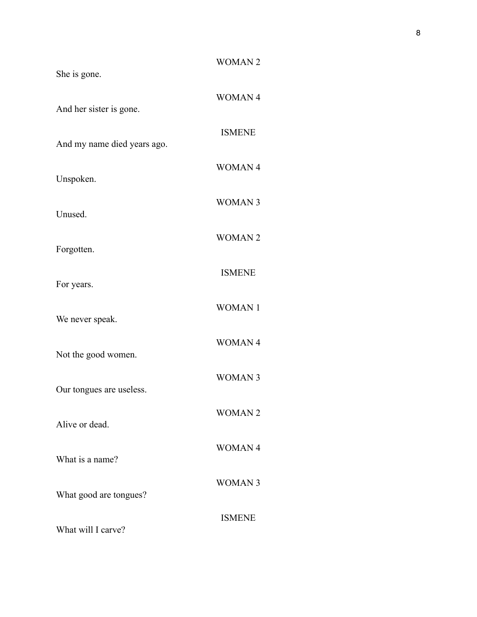| <b>WOMAN2</b> |
|---------------|
| <b>WOMAN4</b> |
| <b>ISMENE</b> |
| <b>WOMAN4</b> |
| <b>WOMAN3</b> |
| <b>WOMAN2</b> |
| <b>ISMENE</b> |
| <b>WOMAN1</b> |
| <b>WOMAN4</b> |
| <b>WOMAN3</b> |
| <b>WOMAN2</b> |
| <b>WOMAN4</b> |
| <b>WOMAN3</b> |
| <b>ISMENE</b> |
|               |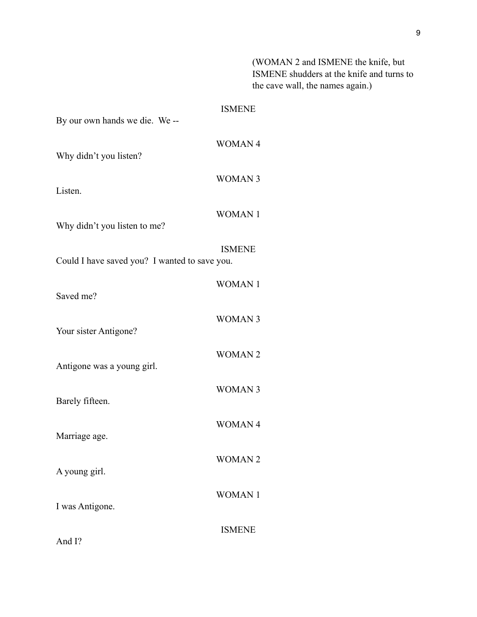(WOMAN 2 and ISMENE the knife, but ISMENE shudders at the knife and turns to the cave wall, the names again.)

| By our own hands we die. We --                | <b>ISMENE</b> |
|-----------------------------------------------|---------------|
| Why didn't you listen?                        | <b>WOMAN4</b> |
| Listen.                                       | <b>WOMAN3</b> |
| Why didn't you listen to me?                  | <b>WOMAN1</b> |
| Could I have saved you? I wanted to save you. | <b>ISMENE</b> |
| Saved me?                                     | <b>WOMAN1</b> |
| Your sister Antigone?                         | <b>WOMAN3</b> |
| Antigone was a young girl.                    | <b>WOMAN2</b> |
| Barely fifteen.                               | <b>WOMAN3</b> |
| Marriage age.                                 | <b>WOMAN4</b> |
| A young girl.                                 | <b>WOMAN2</b> |
| I was Antigone.                               | <b>WOMAN1</b> |
| And I?                                        | <b>ISMENE</b> |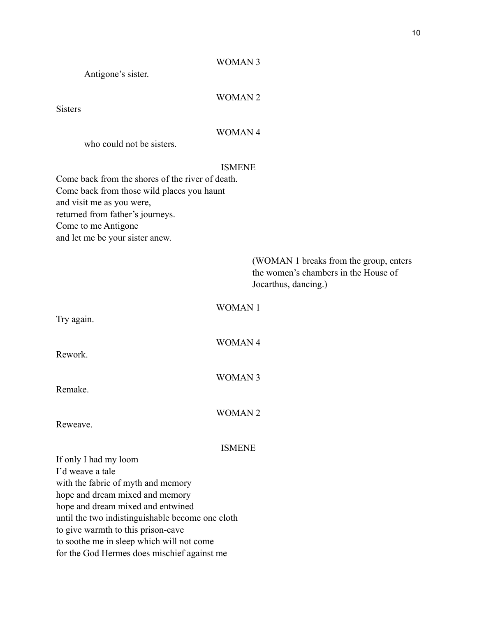# WOMAN 3

Antigone's sister.

# WOMAN 2

Sisters

# WOMAN 4

who could not be sisters.

# ISMENE

Come back from the shores of the river of death. Come back from those wild places you haunt and visit me as you were, returned from father's journeys. Come to me Antigone and let me be your sister anew.

| (WOMAN 1 breaks from the group, enters<br>the women's chambers in the House of<br>Jocarthus, dancing.) |
|--------------------------------------------------------------------------------------------------------|
| <b>WOMAN1</b>                                                                                          |
| <b>WOMAN4</b>                                                                                          |
| <b>WOMAN 3</b>                                                                                         |
| <b>WOMAN2</b>                                                                                          |
| <b>ISMENE</b>                                                                                          |
|                                                                                                        |
|                                                                                                        |
|                                                                                                        |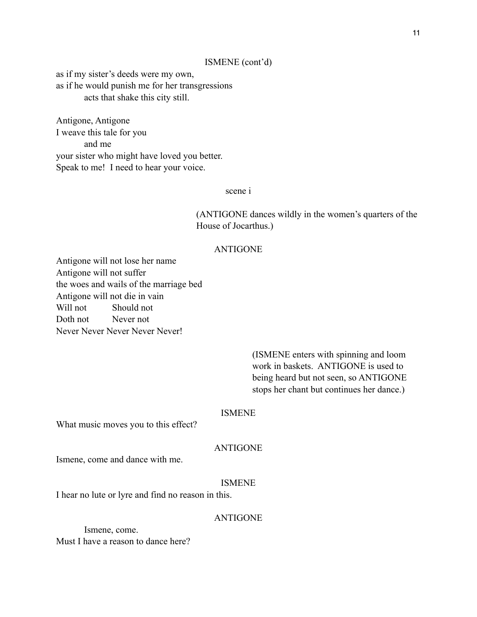# ISMENE (cont'd)

as if my sister's deeds were my own, as if he would punish me for her transgressions acts that shake this city still.

Antigone, Antigone I weave this tale for you and me your sister who might have loved you better. Speak to me! I need to hear your voice.

scene i

 (ANTIGONE dances wildly in the women's quarters of the House of Jocarthus.)

#### ANTIGONE

Antigone will not lose her name Antigone will not suffer the woes and wails of the marriage bed Antigone will not die in vain Will not Should not Doth not Never not Never Never Never Never Never!

> (ISMENE enters with spinning and loom work in baskets. ANTIGONE is used to being heard but not seen, so ANTIGONE stops her chant but continues her dance.)

#### ISMENE

What music moves you to this effect?

# ANTIGONE

Ismene, come and dance with me.

#### ISMENE

I hear no lute or lyre and find no reason in this.

#### ANTIGONE

 Ismene, come. Must I have a reason to dance here?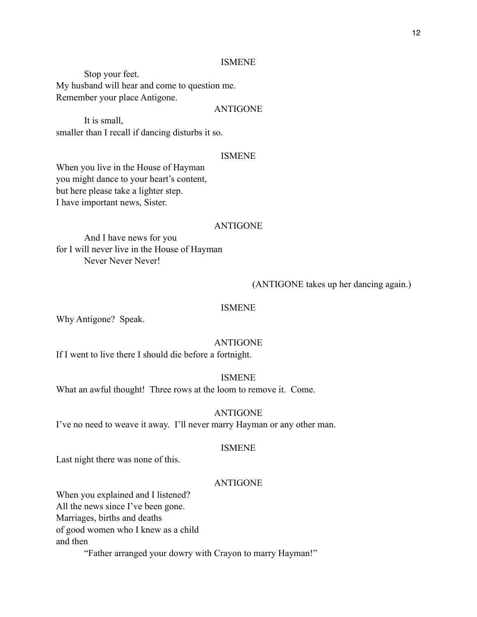#### ISMENE

 Stop your feet. My husband will hear and come to question me. Remember your place Antigone.

#### ANTIGONE

 It is small, smaller than I recall if dancing disturbs it so.

### ISMENE

When you live in the House of Hayman you might dance to your heart's content, but here please take a lighter step. I have important news, Sister.

#### ANTIGONE

 And I have news for you for I will never live in the House of Hayman Never Never Never!

### (ANTIGONE takes up her dancing again.)

#### ISMENE

Why Antigone? Speak.

#### ANTIGONE

If I went to live there I should die before a fortnight.

#### ISMENE

What an awful thought! Three rows at the loom to remove it. Come.

# ANTIGONE

I've no need to weave it away. I'll never marry Hayman or any other man.

#### ISMENE

Last night there was none of this.

#### ANTIGONE

When you explained and I listened? All the news since I've been gone.

Marriages, births and deaths

of good women who I knew as a child

and then

"Father arranged your dowry with Crayon to marry Hayman!"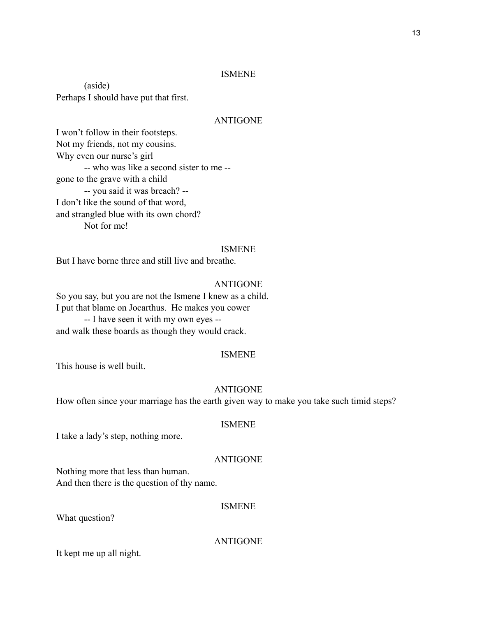# ISMENE

 (aside) Perhaps I should have put that first.

# ANTIGONE

I won't follow in their footsteps. Not my friends, not my cousins. Why even our nurse's girl -- who was like a second sister to me - gone to the grave with a child -- you said it was breach? -- I don't like the sound of that word, and strangled blue with its own chord? Not for me!

#### ISMENE

But I have borne three and still live and breathe.

# ANTIGONE

So you say, but you are not the Ismene I knew as a child. I put that blame on Jocarthus. He makes you cower -- I have seen it with my own eyes - and walk these boards as though they would crack.

#### ISMENE

This house is well built.

#### ANTIGONE

How often since your marriage has the earth given way to make you take such timid steps?

### ISMENE

I take a lady's step, nothing more.

# ANTIGONE

Nothing more that less than human. And then there is the question of thy name.

#### ISMENE

What question?

ANTIGONE

It kept me up all night.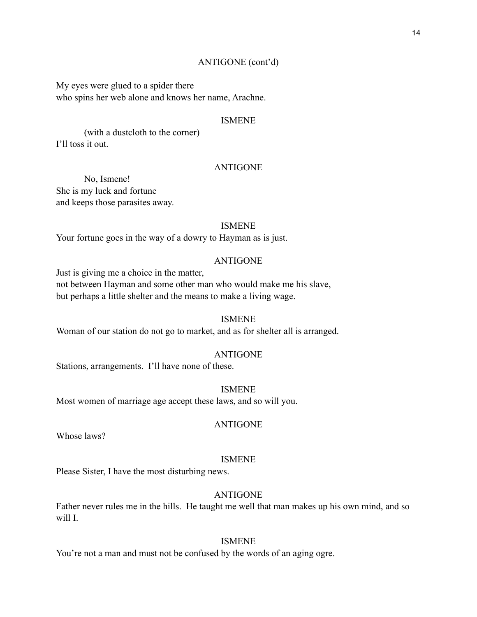My eyes were glued to a spider there who spins her web alone and knows her name, Arachne.

#### ISMENE

 (with a dustcloth to the corner) I'll toss it out.

# ANTIGONE

 No, Ismene! She is my luck and fortune and keeps those parasites away.

#### ISMENE

Your fortune goes in the way of a dowry to Hayman as is just.

#### ANTIGONE

Just is giving me a choice in the matter,

not between Hayman and some other man who would make me his slave, but perhaps a little shelter and the means to make a living wage.

#### ISMENE

Woman of our station do not go to market, and as for shelter all is arranged.

#### ANTIGONE

Stations, arrangements. I'll have none of these.

ISMENE Most women of marriage age accept these laws, and so will you.

### ANTIGONE

Whose laws?

#### ISMENE

Please Sister, I have the most disturbing news.

# ANTIGONE

Father never rules me in the hills. He taught me well that man makes up his own mind, and so will I.

# ISMENE

You're not a man and must not be confused by the words of an aging ogre.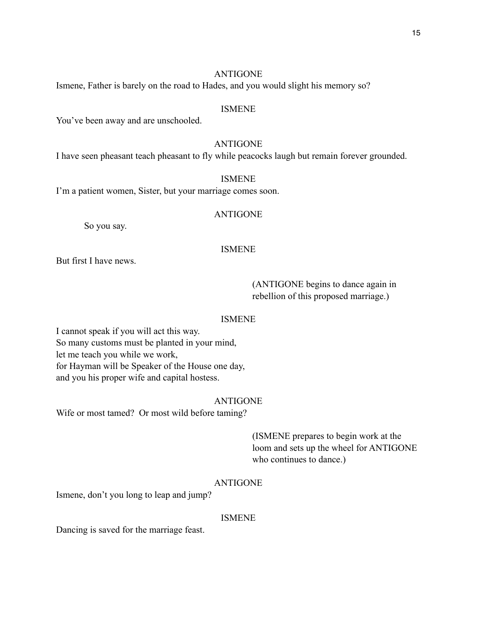# ANTIGONE

Ismene, Father is barely on the road to Hades, and you would slight his memory so?

#### ISMENE

You've been away and are unschooled.

#### ANTIGONE

I have seen pheasant teach pheasant to fly while peacocks laugh but remain forever grounded.

#### ISMENE

I'm a patient women, Sister, but your marriage comes soon.

#### ANTIGONE

So you say.

# ISMENE

But first I have news.

 (ANTIGONE begins to dance again in rebellion of this proposed marriage.)

#### ISMENE

I cannot speak if you will act this way. So many customs must be planted in your mind, let me teach you while we work, for Hayman will be Speaker of the House one day, and you his proper wife and capital hostess.

#### ANTIGONE

Wife or most tamed? Or most wild before taming?

 (ISMENE prepares to begin work at the loom and sets up the wheel for ANTIGONE who continues to dance.)

#### ANTIGONE

Ismene, don't you long to leap and jump?

#### ISMENE

Dancing is saved for the marriage feast.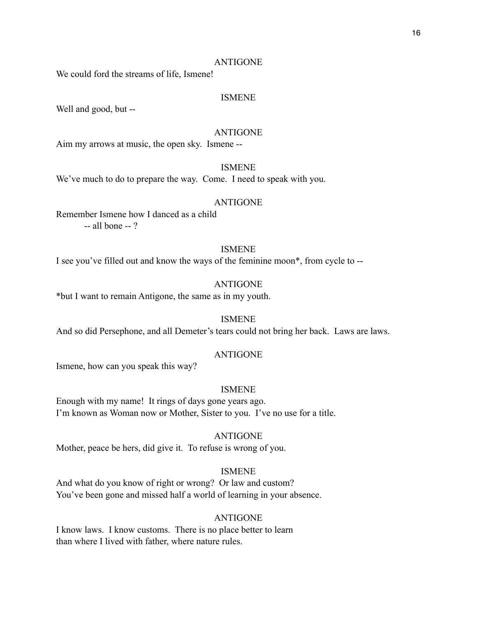#### ANTIGONE

We could ford the streams of life, Ismene!

# ISMENE

Well and good, but --

#### ANTIGONE

Aim my arrows at music, the open sky. Ismene --

# ISMENE

We've much to do to prepare the way. Come. I need to speak with you.

#### ANTIGONE

Remember Ismene how I danced as a child -- all bone -- ?

# ISMENE

I see you've filled out and know the ways of the feminine moon\*, from cycle to --

#### ANTIGONE

\*but I want to remain Antigone, the same as in my youth.

#### ISMENE

And so did Persephone, and all Demeter's tears could not bring her back. Laws are laws.

#### ANTIGONE

Ismene, how can you speak this way?

#### ISMENE

Enough with my name! It rings of days gone years ago. I'm known as Woman now or Mother, Sister to you. I've no use for a title.

#### ANTIGONE

Mother, peace be hers, did give it. To refuse is wrong of you.

#### ISMENE

And what do you know of right or wrong? Or law and custom? You've been gone and missed half a world of learning in your absence.

#### ANTIGONE

I know laws. I know customs. There is no place better to learn than where I lived with father, where nature rules.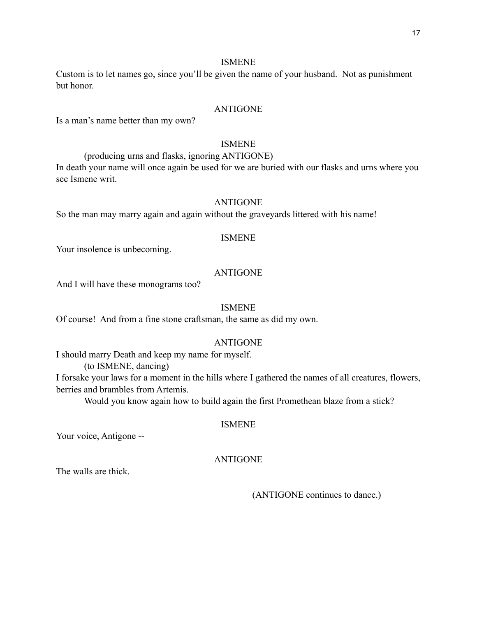# ISMENE

Custom is to let names go, since you'll be given the name of your husband. Not as punishment but honor.

#### ANTIGONE

Is a man's name better than my own?

#### ISMENE

(producing urns and flasks, ignoring ANTIGONE)

In death your name will once again be used for we are buried with our flasks and urns where you see Ismene writ.

# ANTIGONE

So the man may marry again and again without the graveyards littered with his name!

#### ISMENE

Your insolence is unbecoming.

# ANTIGONE

And I will have these monograms too?

#### ISMENE

Of course! And from a fine stone craftsman, the same as did my own.

# ANTIGONE

I should marry Death and keep my name for myself.

(to ISMENE, dancing)

I forsake your laws for a moment in the hills where I gathered the names of all creatures, flowers, berries and brambles from Artemis.

Would you know again how to build again the first Promethean blaze from a stick?

# ISMENE

Your voice, Antigone --

# ANTIGONE

The walls are thick.

(ANTIGONE continues to dance.)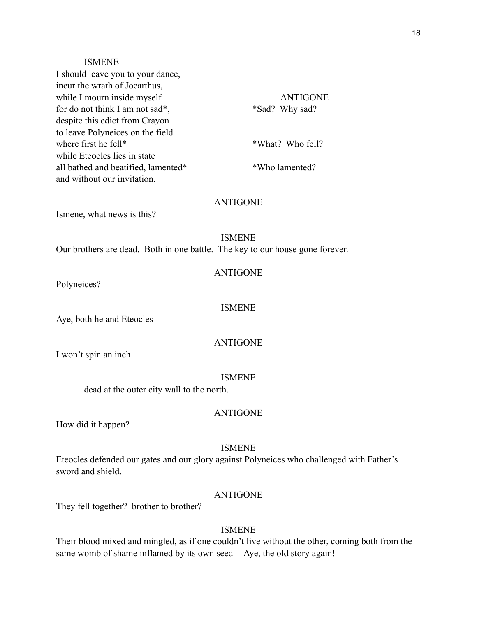#### ISMENE

| I should leave you to your dance,   |                  |
|-------------------------------------|------------------|
| incur the wrath of Jocarthus,       |                  |
| while I mourn inside myself         | <b>ANTIGONE</b>  |
| for do not think I am not sad*,     | *Sad? Why sad?   |
| despite this edict from Crayon      |                  |
| to leave Polyneices on the field    |                  |
| where first he fell*                | *What? Who fell? |
| while Eteocles lies in state        |                  |
| all bathed and beatified, lamented* | *Who lamented?   |
| and without our invitation.         |                  |

# ANTIGONE

Ismene, what news is this?

# ISMENE

Our brothers are dead. Both in one battle. The key to our house gone forever.

# ANTIGONE

Polyneices?

#### ISMENE

Aye, both he and Eteocles

# ANTIGONE

I won't spin an inch

#### ISMENE

dead at the outer city wall to the north.

# ANTIGONE

How did it happen?

#### ISMENE

Eteocles defended our gates and our glory against Polyneices who challenged with Father's sword and shield.

# ANTIGONE

They fell together? brother to brother?

# ISMENE

Their blood mixed and mingled, as if one couldn't live without the other, coming both from the same womb of shame inflamed by its own seed -- Aye, the old story again!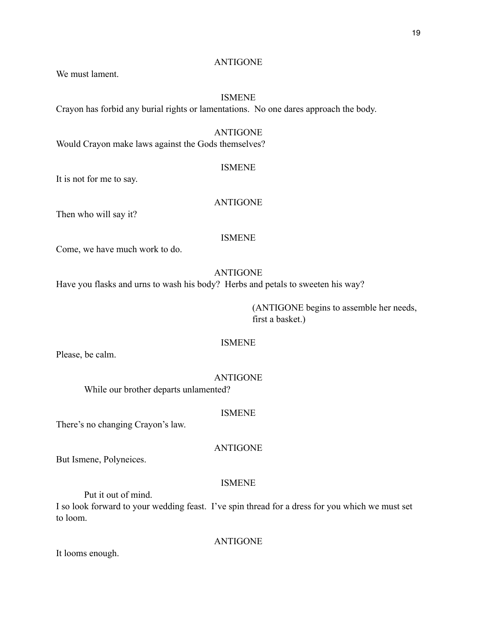#### ANTIGONE

We must lament.

### ISMENE

Crayon has forbid any burial rights or lamentations. No one dares approach the body.

# ANTIGONE

Would Crayon make laws against the Gods themselves?

# ISMENE

It is not for me to say.

# ANTIGONE

Then who will say it?

#### ISMENE

Come, we have much work to do.

# ANTIGONE

Have you flasks and urns to wash his body? Herbs and petals to sweeten his way?

 (ANTIGONE begins to assemble her needs, first a basket.)

# ISMENE

Please, be calm.

### ANTIGONE

While our brother departs unlamented?

# ISMENE

There's no changing Crayon's law.

# ANTIGONE

But Ismene, Polyneices.

#### ISMENE

Put it out of mind.

I so look forward to your wedding feast. I've spin thread for a dress for you which we must set to loom.

ANTIGONE

It looms enough.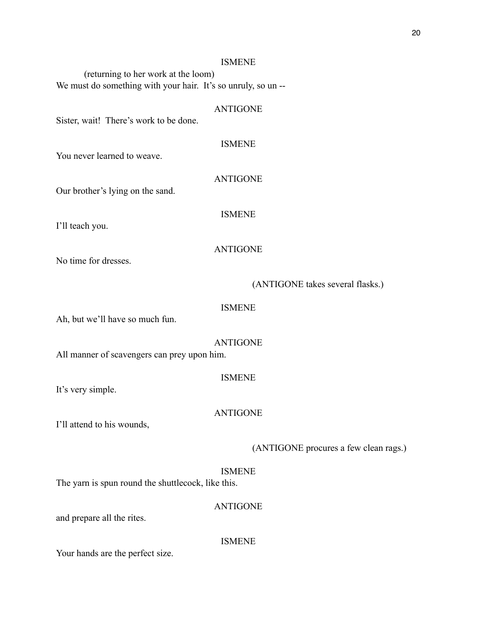#### ISMENE

 (returning to her work at the loom) We must do something with your hair. It's so unruly, so un-

# ANTIGONE

Sister, wait! There's work to be done.

# ISMENE

ANTIGONE

You never learned to weave.

Our brother's lying on the sand.

# ISMENE

I'll teach you.

# ANTIGONE

No time for dresses.

# (ANTIGONE takes several flasks.)

#### ISMENE

Ah, but we'll have so much fun.

#### ANTIGONE

All manner of scavengers can prey upon him.

### ISMENE

It's very simple.

# ANTIGONE

I'll attend to his wounds,

# (ANTIGONE procures a few clean rags.)

# ISMENE

The yarn is spun round the shuttlecock, like this.

# ANTIGONE

and prepare all the rites.

#### **ISMENE**

Your hands are the perfect size.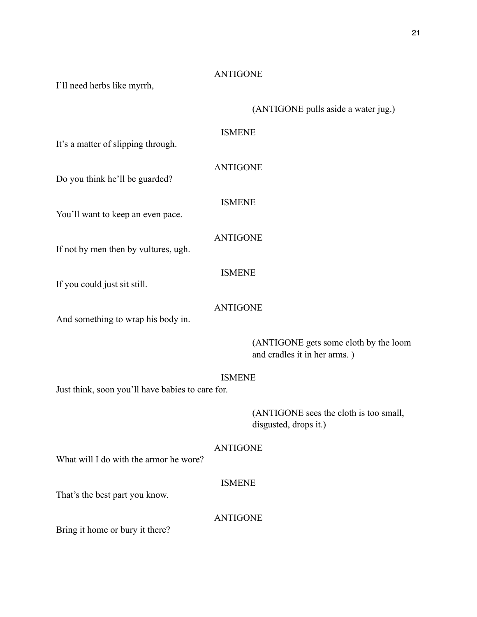# ANTIGONE

I'll need herbs like myrrh,

|                                                  | (ANTIGONE pulls aside a water jug.)                                   |
|--------------------------------------------------|-----------------------------------------------------------------------|
| It's a matter of slipping through.               | <b>ISMENE</b>                                                         |
| Do you think he'll be guarded?                   | <b>ANTIGONE</b>                                                       |
| You'll want to keep an even pace.                | <b>ISMENE</b>                                                         |
| If not by men then by vultures, ugh.             | <b>ANTIGONE</b>                                                       |
| If you could just sit still.                     | <b>ISMENE</b>                                                         |
| And something to wrap his body in.               | <b>ANTIGONE</b>                                                       |
|                                                  | (ANTIGONE gets some cloth by the loom<br>and cradles it in her arms.) |
| Just think, soon you'll have babies to care for. | <b>ISMENE</b>                                                         |
|                                                  | (ANTIGONE sees the cloth is too small,<br>disgusted, drops it.)       |
| What will I do with the armor he wore?           | <b>ANTIGONE</b>                                                       |
| That's the best part you know.                   | <b>ISMENE</b>                                                         |
| Bring it home or bury it there?                  | <b>ANTIGONE</b>                                                       |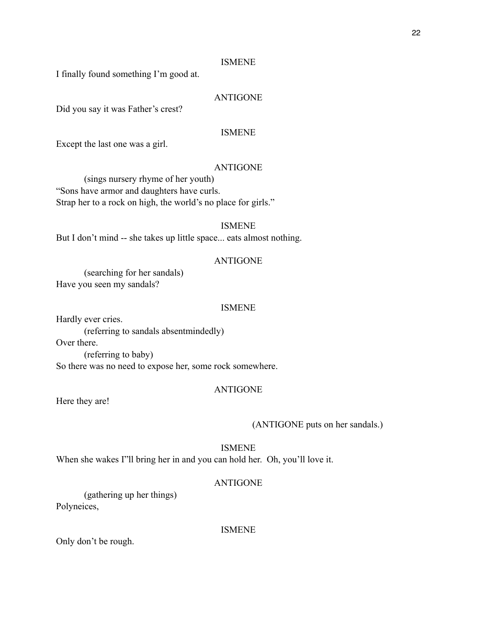#### ISMENE

I finally found something I'm good at.

# ANTIGONE

Did you say it was Father's crest?

#### ISMENE

Except the last one was a girl.

# ANTIGONE

 (sings nursery rhyme of her youth) "Sons have armor and daughters have curls. Strap her to a rock on high, the world's no place for girls."

#### ISMENE

But I don't mind -- she takes up little space... eats almost nothing.

#### ANTIGONE

 (searching for her sandals) Have you seen my sandals?

#### ISMENE

Hardly ever cries.

(referring to sandals absentmindedly)

Over there.

 (referring to baby) So there was no need to expose her, some rock somewhere.

#### ANTIGONE

Here they are!

(ANTIGONE puts on her sandals.)

ISMENE

When she wakes I"ll bring her in and you can hold her. Oh, you'll love it.

#### ANTIGONE

 (gathering up her things) Polyneices,

#### ISMENE

Only don't be rough.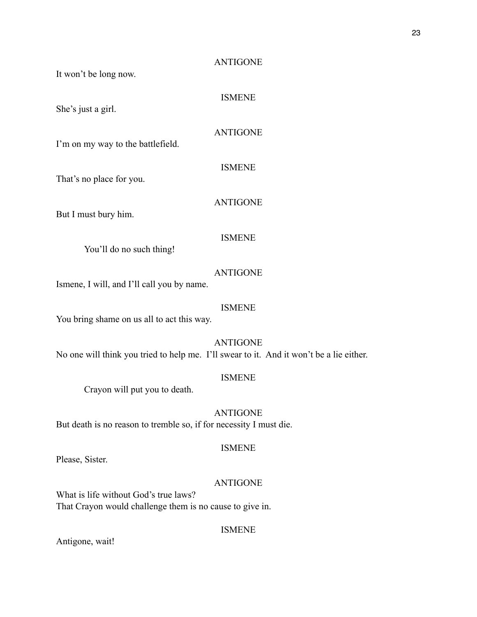# ANTIGONE

It won't be long now.

She's just a girl.

ANTIGONE

ISMENE

ANTIGONE

ISMENE

I'm on my way to the battlefield.

That's no place for you.

But I must bury him.

#### ISMENE

You'll do no such thing!

# ANTIGONE

Ismene, I will, and I'll call you by name.

#### ISMENE

You bring shame on us all to act this way.

ANTIGONE

No one will think you tried to help me. I'll swear to it. And it won't be a lie either.

# ISMENE

Crayon will put you to death.

# ANTIGONE

But death is no reason to tremble so, if for necessity I must die.

# ISMENE

Please, Sister.

#### ANTIGONE

What is life without God's true laws? That Crayon would challenge them is no cause to give in.

# ISMENE

Antigone, wait!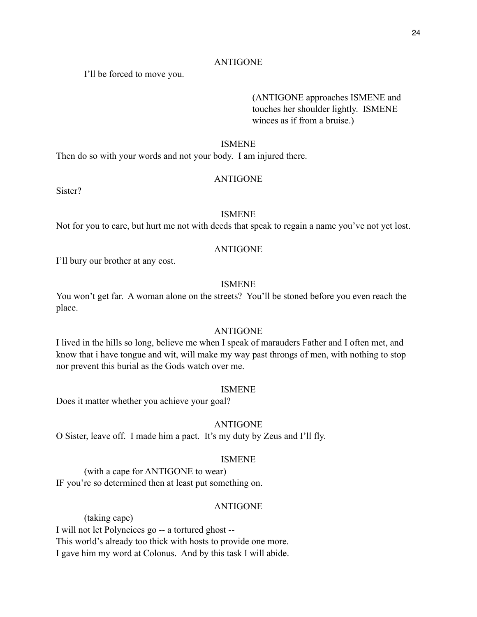#### ANTIGONE

I'll be forced to move you.

 (ANTIGONE approaches ISMENE and touches her shoulder lightly. ISMENE winces as if from a bruise.)

#### ISMENE

Then do so with your words and not your body. I am injured there.

# ANTIGONE

Sister?

# ISMENE

Not for you to care, but hurt me not with deeds that speak to regain a name you've not yet lost.

# ANTIGONE

I'll bury our brother at any cost.

# ISMENE

You won't get far. A woman alone on the streets? You'll be stoned before you even reach the place.

# ANTIGONE

I lived in the hills so long, believe me when I speak of marauders Father and I often met, and know that i have tongue and wit, will make my way past throngs of men, with nothing to stop nor prevent this burial as the Gods watch over me.

#### ISMENE

Does it matter whether you achieve your goal?

# ANTIGONE

O Sister, leave off. I made him a pact. It's my duty by Zeus and I'll fly.

# ISMENE

 (with a cape for ANTIGONE to wear) IF you're so determined then at least put something on.

# ANTIGONE

 (taking cape) I will not let Polyneices go -- a tortured ghost -- This world's already too thick with hosts to provide one more. I gave him my word at Colonus. And by this task I will abide.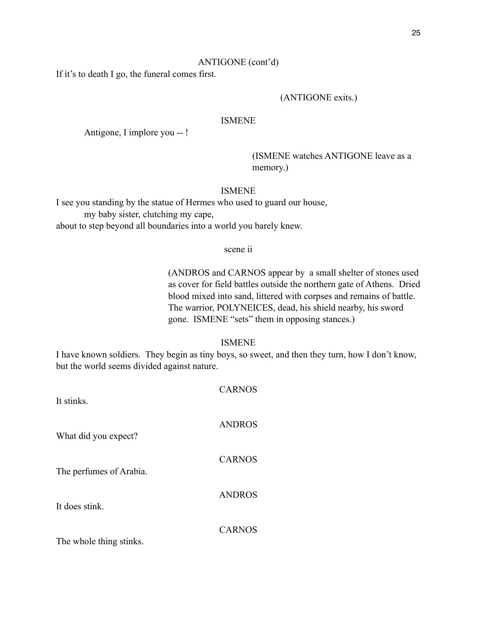# ANTIGONE (cont'd)

If it's to death I go, the funeral comes first.

#### (ANTIGONE exits.)

# ISMENE

Antigone, I implore you -- !

 (ISMENE watches ANTIGONE leave as a memory.)

# ISMENE

I see you standing by the statue of Hermes who used to guard our house, my baby sister, clutching my cape,

about to step beyond all boundaries into a world you barely knew.

#### scene ii

 (ANDROS and CARNOS appear by a small shelter of stones used as cover for field battles outside the northern gate of Athens. Dried blood mixed into sand, littered with corpses and remains of battle. The warrior, POLYNEICES, dead, his shield nearby, his sword gone. ISMENE "sets" them in opposing stances.)

# ISMENE

I have known soldiers. They begin as tiny boys, so sweet, and then they turn, how I don't know, but the world seems divided against nature.

| It stinks.              | <b>CARNOS</b> |
|-------------------------|---------------|
| What did you expect?    | <b>ANDROS</b> |
| The perfumes of Arabia. | <b>CARNOS</b> |
| It does stink.          | <b>ANDROS</b> |
| The whole thing stinks. | <b>CARNOS</b> |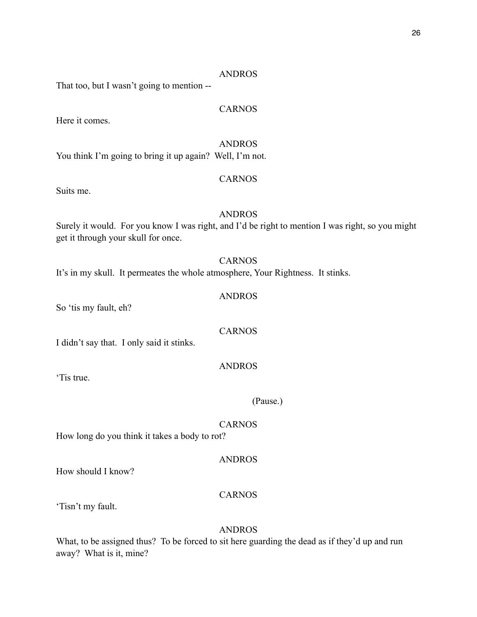#### ANDROS

That too, but I wasn't going to mention --

# CARNOS

Here it comes.

# ANDROS

You think I'm going to bring it up again? Well, I'm not.

# CARNOS

Suits me.

# ANDROS

Surely it would. For you know I was right, and I'd be right to mention I was right, so you might get it through your skull for once.

#### CARNOS

It's in my skull. It permeates the whole atmosphere, Your Rightness. It stinks.

# ANDROS

So 'tis my fault, eh?

# CARNOS

I didn't say that. I only said it stinks.

#### ANDROS

'Tis true.

#### (Pause.)

#### CARNOS

How long do you think it takes a body to rot?

#### ANDROS

How should I know?

# CARNOS

'Tisn't my fault.

#### ANDROS

What, to be assigned thus? To be forced to sit here guarding the dead as if they'd up and run away? What is it, mine?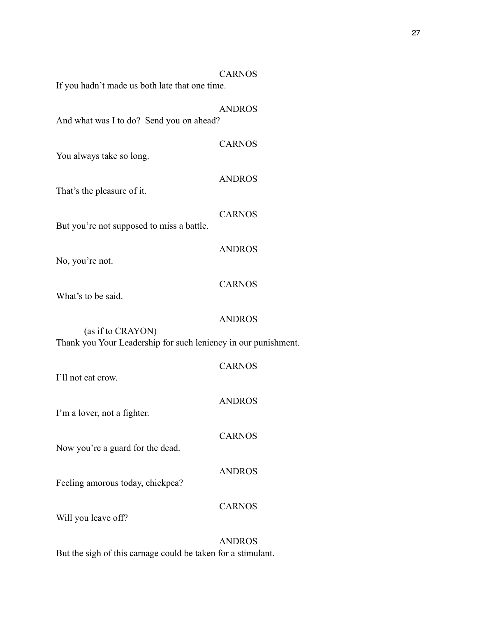|                                                                                     | <b>CARNOS</b> |  |
|-------------------------------------------------------------------------------------|---------------|--|
| If you hadn't made us both late that one time.                                      |               |  |
| And what was I to do? Send you on ahead?                                            | <b>ANDROS</b> |  |
| You always take so long.                                                            | <b>CARNOS</b> |  |
| That's the pleasure of it.                                                          | <b>ANDROS</b> |  |
| But you're not supposed to miss a battle.                                           | <b>CARNOS</b> |  |
| No, you're not.                                                                     | <b>ANDROS</b> |  |
| What's to be said.                                                                  | <b>CARNOS</b> |  |
| (as if to CRAYON)<br>Thank you Your Leadership for such leniency in our punishment. | <b>ANDROS</b> |  |
|                                                                                     |               |  |
| I'll not eat crow.                                                                  | <b>CARNOS</b> |  |
| I'm a lover, not a fighter.                                                         | <b>ANDROS</b> |  |
| Now you're a guard for the dead.                                                    | <b>CARNOS</b> |  |
| Feeling amorous today, chickpea?                                                    | <b>ANDROS</b> |  |
| Will you leave off?                                                                 | <b>CARNOS</b> |  |
|                                                                                     | <b>ANDROS</b> |  |

But the sigh of this carnage could be taken for a stimulant.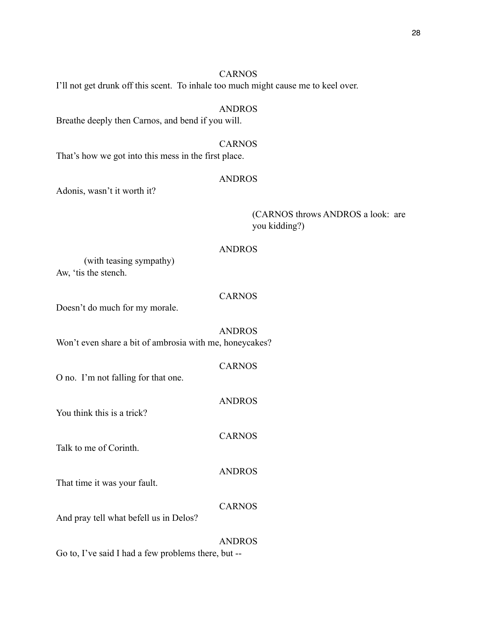# CARNOS

I'll not get drunk off this scent. To inhale too much might cause me to keel over.

# ANDROS

Breathe deeply then Carnos, and bend if you will.

CARNOS That's how we got into this mess in the first place.

#### ANDROS

Adonis, wasn't it worth it?

 (CARNOS throws ANDROS a look: are you kidding?)

# ANDROS

 (with teasing sympathy) Aw, 'tis the stench.

# CARNOS

Doesn't do much for my morale.

#### ANDROS

Won't even share a bit of ambrosia with me, honeycakes?

|                                     | <b>CARNOS</b> |
|-------------------------------------|---------------|
| O no. I'm not falling for that one. |               |

You think this is a trick?

Talk to me of Corinth.

#### ANDROS

ANDROS

CARNOS

That time it was your fault.

# CARNOS

And pray tell what befell us in Delos?

#### ANDROS

Go to, I've said I had a few problems there, but --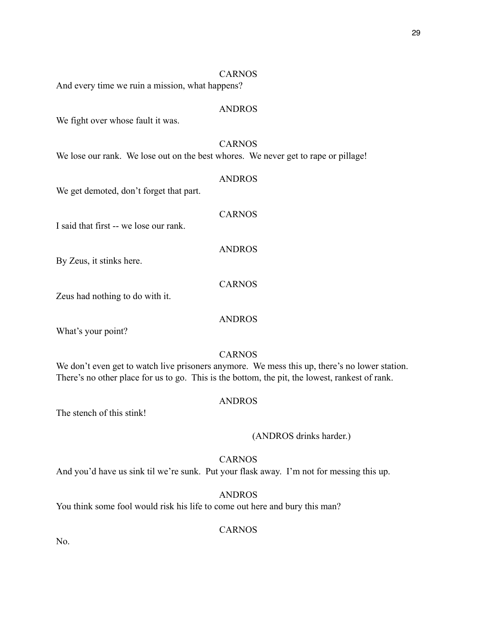#### CARNOS

And every time we ruin a mission, what happens?

#### ANDROS

We fight over whose fault it was.

#### CARNOS

CARNOS

ANDROS

CARNOS

ANDROS

We lose our rank. We lose out on the best whores. We never get to rape or pillage!

# ANDROS

We get demoted, don't forget that part.

I said that first -- we lose our rank.

By Zeus, it stinks here.

Zeus had nothing to do with it.

What's your point?

#### CARNOS

We don't even get to watch live prisoners anymore. We mess this up, there's no lower station. There's no other place for us to go. This is the bottom, the pit, the lowest, rankest of rank.

#### ANDROS

The stench of this stink!

#### (ANDROS drinks harder.)

# CARNOS

And you'd have us sink til we're sunk. Put your flask away. I'm not for messing this up.

# ANDROS

You think some fool would risk his life to come out here and bury this man?

# **CARNOS**

No.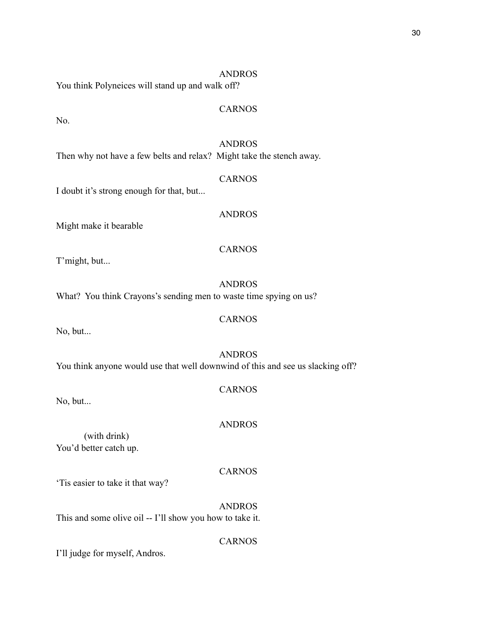# ANDROS You think Polyneices will stand up and walk off?

No.

# ANDROS

CARNOS

Then why not have a few belts and relax? Might take the stench away.

I doubt it's strong enough for that, but...

Might make it bearable

T'might, but...

ANDROS What? You think Crayons's sending men to waste time spying on us?

No, but...

# ANDROS

CARNOS

You think anyone would use that well downwind of this and see us slacking off?

# CARNOS

No, but...

# ANDROS

 (with drink) You'd better catch up.

# CARNOS

CARNOS

'Tis easier to take it that way?

ANDROS This and some olive oil -- I'll show you how to take it.

I'll judge for myself, Andros.

CARNOS

ANDROS

CARNOS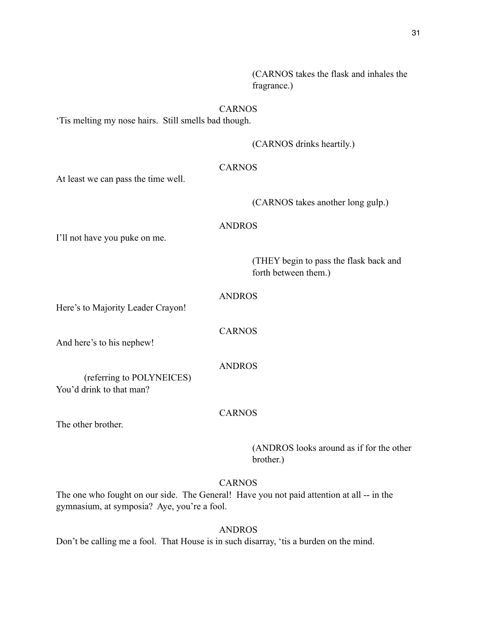(CARNOS takes the flask and inhales the fragrance.)

# CARNOS

'Tis melting my nose hairs. Still smells bad though.

(CARNOS drinks heartily.)

# CARNOS

At least we can pass the time well.

(CARNOS takes another long gulp.)

#### ANDROS

I'll not have you puke on me.

 (THEY begin to pass the flask back and forth between them.)

# ANDROS

Here's to Majority Leader Crayon!

CARNOS

And here's to his nephew!

ANDROS

 (referring to POLYNEICES) You'd drink to that man?

CARNOS

The other brother.

 (ANDROS looks around as if for the other brother.)

# CARNOS

The one who fought on our side. The General! Have you not paid attention at all -- in the gymnasium, at symposia? Aye, you're a fool.

# ANDROS

Don't be calling me a fool. That House is in such disarray, 'tis a burden on the mind.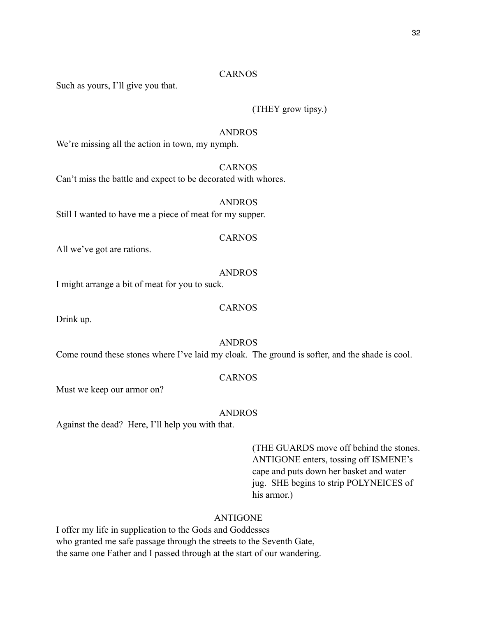#### CARNOS

Such as yours, I'll give you that.

# (THEY grow tipsy.)

#### ANDROS

We're missing all the action in town, my nymph.

# **CARNOS**

Can't miss the battle and expect to be decorated with whores.

# ANDROS

Still I wanted to have me a piece of meat for my supper.

#### CARNOS

All we've got are rations.

# ANDROS

I might arrange a bit of meat for you to suck.

#### CARNOS

Drink up.

#### ANDROS

Come round these stones where I've laid my cloak. The ground is softer, and the shade is cool.

# CARNOS

Must we keep our armor on?

# ANDROS

Against the dead? Here, I'll help you with that.

 (THE GUARDS move off behind the stones. ANTIGONE enters, tossing off ISMENE's cape and puts down her basket and water jug. SHE begins to strip POLYNEICES of his armor.)

# ANTIGONE

I offer my life in supplication to the Gods and Goddesses who granted me safe passage through the streets to the Seventh Gate, the same one Father and I passed through at the start of our wandering.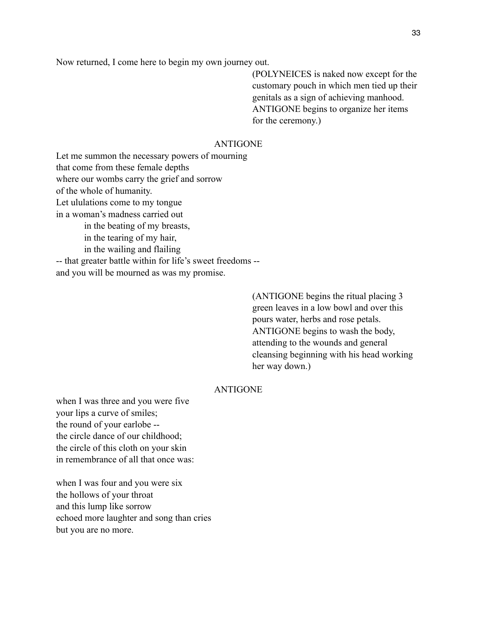Now returned, I come here to begin my own journey out.

 (POLYNEICES is naked now except for the customary pouch in which men tied up their genitals as a sign of achieving manhood. ANTIGONE begins to organize her items for the ceremony.)

# ANTIGONE

Let me summon the necessary powers of mourning that come from these female depths where our wombs carry the grief and sorrow of the whole of humanity. Let ululations come to my tongue in a woman's madness carried out in the beating of my breasts, in the tearing of my hair, in the wailing and flailing -- that greater battle within for life's sweet freedoms - and you will be mourned as was my promise.

> (ANTIGONE begins the ritual placing 3 green leaves in a low bowl and over this pours water, herbs and rose petals. ANTIGONE begins to wash the body, attending to the wounds and general cleansing beginning with his head working her way down.)

# ANTIGONE

when I was three and you were five your lips a curve of smiles; the round of your earlobe - the circle dance of our childhood; the circle of this cloth on your skin in remembrance of all that once was:

when I was four and you were six the hollows of your throat and this lump like sorrow echoed more laughter and song than cries but you are no more.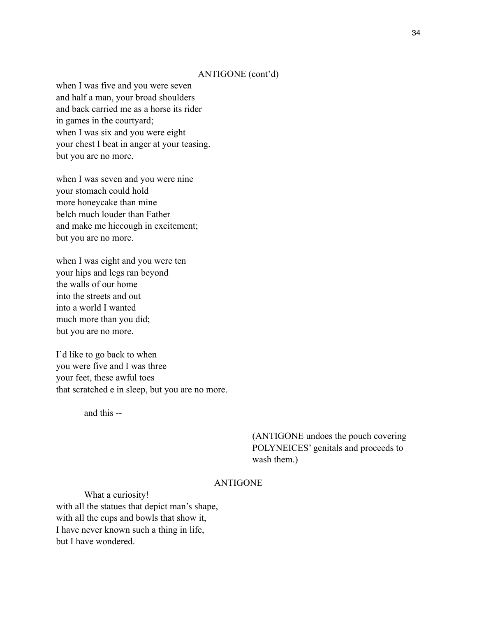## ANTIGONE (cont'd)

when I was five and you were seven and half a man, your broad shoulders and back carried me as a horse its rider in games in the courtyard; when I was six and you were eight your chest I beat in anger at your teasing. but you are no more.

when I was seven and you were nine your stomach could hold more honeycake than mine belch much louder than Father and make me hiccough in excitement; but you are no more.

when I was eight and you were ten your hips and legs ran beyond the walls of our home into the streets and out into a world I wanted much more than you did; but you are no more.

I'd like to go back to when you were five and I was three your feet, these awful toes that scratched e in sleep, but you are no more.

and this --

 (ANTIGONE undoes the pouch covering POLYNEICES' genitals and proceeds to wash them.)

## ANTIGONE

 What a curiosity! with all the statues that depict man's shape, with all the cups and bowls that show it, I have never known such a thing in life, but I have wondered.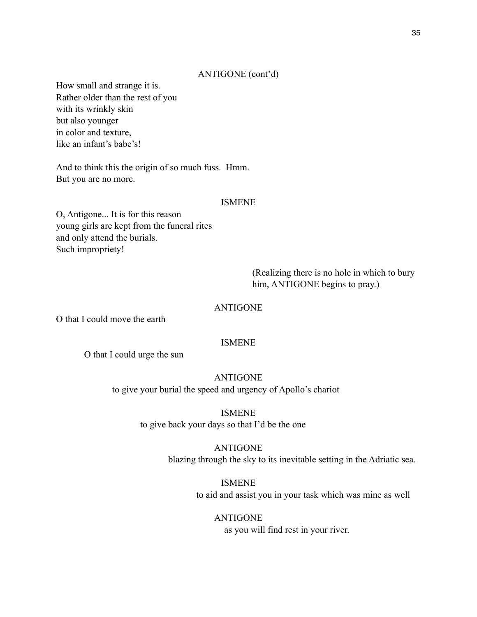# ANTIGONE (cont'd)

How small and strange it is. Rather older than the rest of you with its wrinkly skin but also younger in color and texture, like an infant's babe's!

And to think this the origin of so much fuss. Hmm. But you are no more.

## ISMENE

O, Antigone... It is for this reason young girls are kept from the funeral rites and only attend the burials. Such impropriety!

> (Realizing there is no hole in which to bury him, ANTIGONE begins to pray.)

ANTIGONE

O that I could move the earth

# ISMENE

O that I could urge the sun

ANTIGONE to give your burial the speed and urgency of Apollo's chariot

> ISMENE to give back your days so that I'd be the one

> > ANTIGONE blazing through the sky to its inevitable setting in the Adriatic sea.

> > > ISMENE to aid and assist you in your task which was mine as well

ANTIGONE as you will find rest in your river.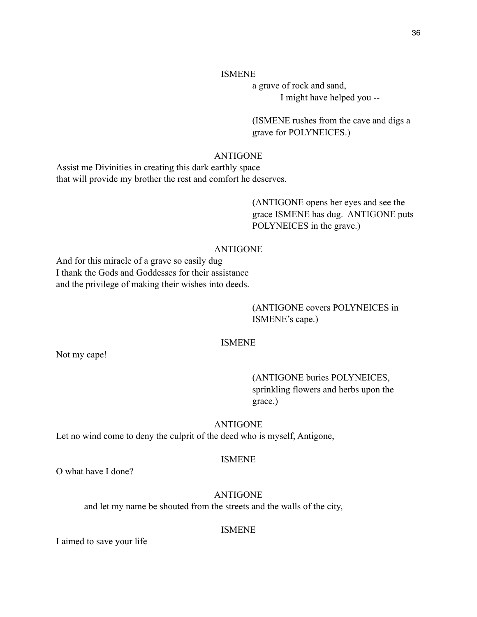# ISMENE

 a grave of rock and sand, I might have helped you --

 (ISMENE rushes from the cave and digs a grave for POLYNEICES.)

# ANTIGONE

Assist me Divinities in creating this dark earthly space that will provide my brother the rest and comfort he deserves.

> (ANTIGONE opens her eyes and see the grace ISMENE has dug. ANTIGONE puts POLYNEICES in the grave.)

# ANTIGONE

And for this miracle of a grave so easily dug I thank the Gods and Goddesses for their assistance and the privilege of making their wishes into deeds.

# (ANTIGONE covers POLYNEICES in ISMENE's cape.)

# ISMENE

Not my cape!

 (ANTIGONE buries POLYNEICES, sprinkling flowers and herbs upon the grace.)

# ANTIGONE

Let no wind come to deny the culprit of the deed who is myself, Antigone,

# ISMENE

O what have I done?

# ANTIGONE

and let my name be shouted from the streets and the walls of the city,

## ISMENE

I aimed to save your life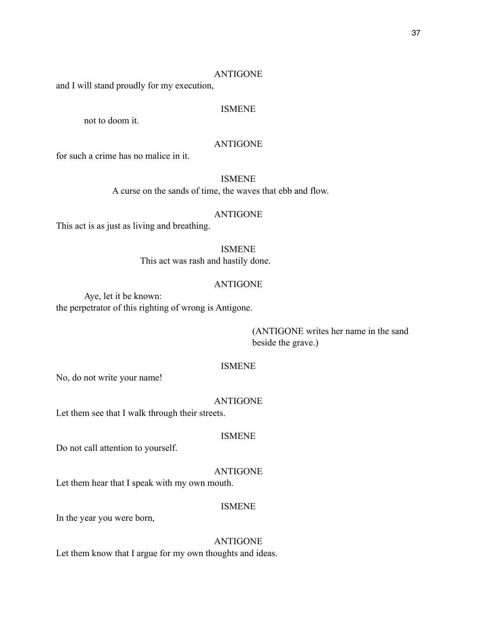# ANTIGONE

and I will stand proudly for my execution,

# ISMENE

not to doom it.

# ANTIGONE

for such a crime has no malice in it.

## ISMENE

A curse on the sands of time, the waves that ebb and flow.

# ANTIGONE

This act is as just as living and breathing.

# ISMENE

This act was rash and hastily done.

# ANTIGONE

 Aye, let it be known: the perpetrator of this righting of wrong is Antigone.

> (ANTIGONE writes her name in the sand beside the grave.)

# ISMENE

No, do not write your name!

#### ANTIGONE

Let them see that I walk through their streets.

#### ISMENE

Do not call attention to yourself.

# ANTIGONE

Let them hear that I speak with my own mouth.

## ISMENE

In the year you were born,

# ANTIGONE

Let them know that I argue for my own thoughts and ideas.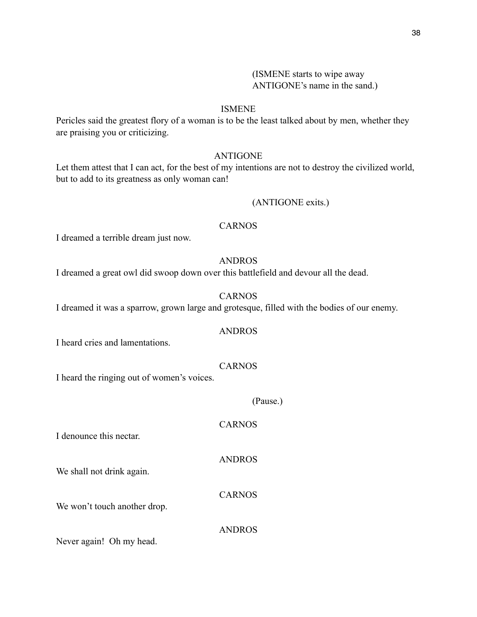### ISMENE

Pericles said the greatest flory of a woman is to be the least talked about by men, whether they are praising you or criticizing.

# ANTIGONE

Let them attest that I can act, for the best of my intentions are not to destroy the civilized world, but to add to its greatness as only woman can!

# (ANTIGONE exits.)

## CARNOS

I dreamed a terrible dream just now.

# ANDROS

I dreamed a great owl did swoop down over this battlefield and devour all the dead.

# CARNOS

I dreamed it was a sparrow, grown large and grotesque, filled with the bodies of our enemy.

## ANDROS

I heard cries and lamentations.

# CARNOS

I heard the ringing out of women's voices.

# (Pause.)

# CARNOS

I denounce this nectar.

We shall not drink again.

CARNOS

ANDROS

We won't touch another drop.

ANDROS

Never again! Oh my head.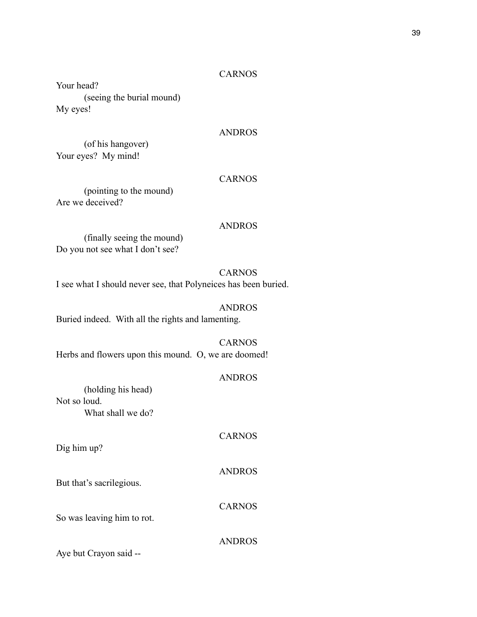# CARNOS

Your head? (seeing the burial mound) My eyes!

## ANDROS

 (of his hangover) Your eyes? My mind!

#### CARNOS

 (pointing to the mound) Are we deceived?

#### ANDROS

 (finally seeing the mound) Do you not see what I don't see?

CARNOS I see what I should never see, that Polyneices has been buried.

#### ANDROS

Buried indeed. With all the rights and lamenting.

CARNOS Herbs and flowers upon this mound. O, we are doomed!

# ANDROS

 (holding his head) Not so loud. What shall we do?

Dig him up?

ANDROS

CARNOS

ANDROS

CARNOS

But that's sacrilegious.

So was leaving him to rot.

Aye but Crayon said --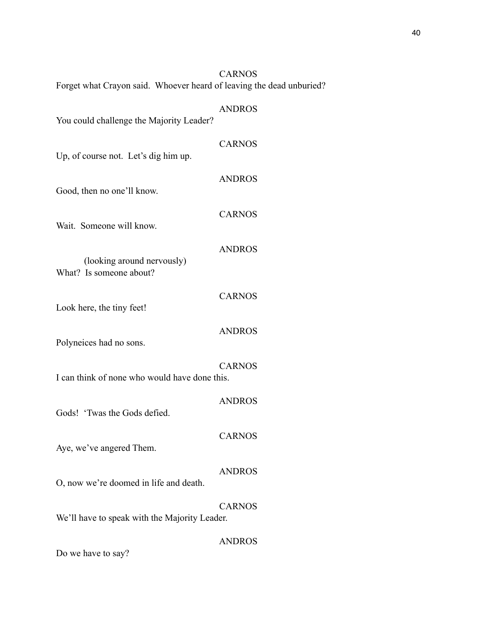|                                                                      | <b>CARNOS</b> |
|----------------------------------------------------------------------|---------------|
| Forget what Crayon said. Whoever heard of leaving the dead unburied? |               |
| You could challenge the Majority Leader?                             | <b>ANDROS</b> |
| Up, of course not. Let's dig him up.                                 | <b>CARNOS</b> |
| Good, then no one'll know.                                           | <b>ANDROS</b> |
| Wait. Someone will know.                                             | <b>CARNOS</b> |
| (looking around nervously)<br>What? Is someone about?                | <b>ANDROS</b> |
| Look here, the tiny feet!                                            | <b>CARNOS</b> |
| Polyneices had no sons.                                              | <b>ANDROS</b> |
| I can think of none who would have done this.                        | <b>CARNOS</b> |
| Gods! 'Twas the Gods defied.                                         | <b>ANDROS</b> |
| Aye, we've angered Them.                                             | <b>CARNOS</b> |
| O, now we're doomed in life and death.                               | <b>ANDROS</b> |
| We'll have to speak with the Majority Leader.                        | <b>CARNOS</b> |
|                                                                      | <b>ANDROS</b> |

Do we have to say?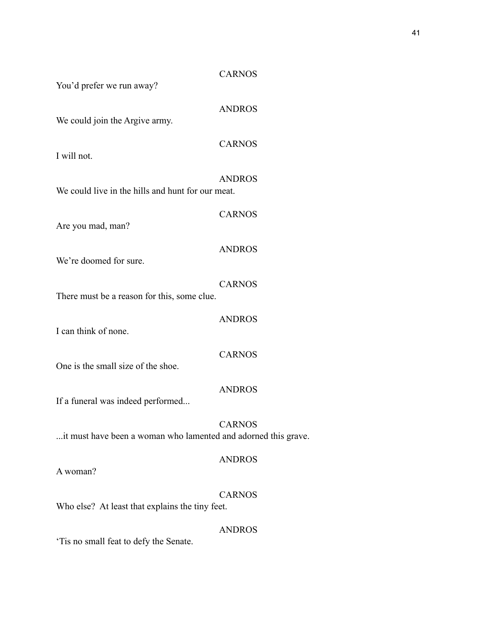# CARNOS

You'd prefer we run away?

ANDROS

CARNOS

CARNOS

We could join the Argive army.

I will not.

ANDROS We could live in the hills and hunt for our meat.

Are you mad, man?

ANDROS

We're doomed for sure.

CARNOS There must be a reason for this, some clue.

I can think of none.

One is the small size of the shoe.

ANDROS

ANDROS

CARNOS

If a funeral was indeed performed...

CARNOS ...it must have been a woman who lamented and adorned this grave.

# ANDROS

A woman?

CARNOS

ANDROS

Who else? At least that explains the tiny feet.

'Tis no small feat to defy the Senate.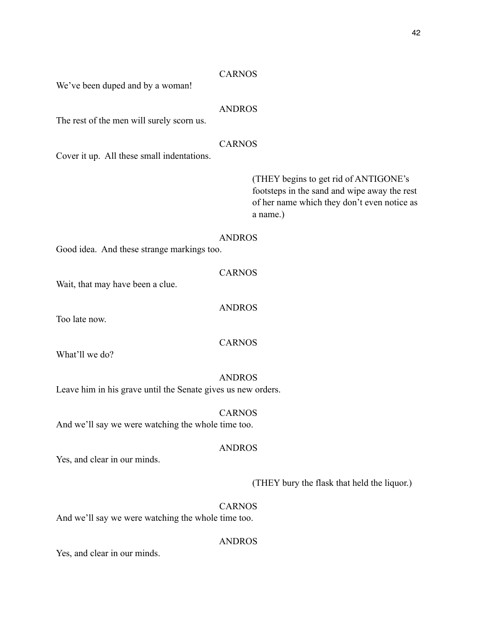#### CARNOS

We've been duped and by a woman!

## ANDROS

The rest of the men will surely scorn us.

# CARNOS

Cover it up. All these small indentations.

 (THEY begins to get rid of ANTIGONE's footsteps in the sand and wipe away the rest of her name which they don't even notice as a name.)

## ANDROS

CARNOS

ANDROS

Good idea. And these strange markings too.

Wait, that may have been a clue.

Too late now.

CARNOS

What'll we do?

#### ANDROS

Leave him in his grave until the Senate gives us new orders.

# CARNOS

And we'll say we were watching the whole time too.

# ANDROS

Yes, and clear in our minds.

## (THEY bury the flask that held the liquor.)

### CARNOS

And we'll say we were watching the whole time too.

ANDROS

Yes, and clear in our minds.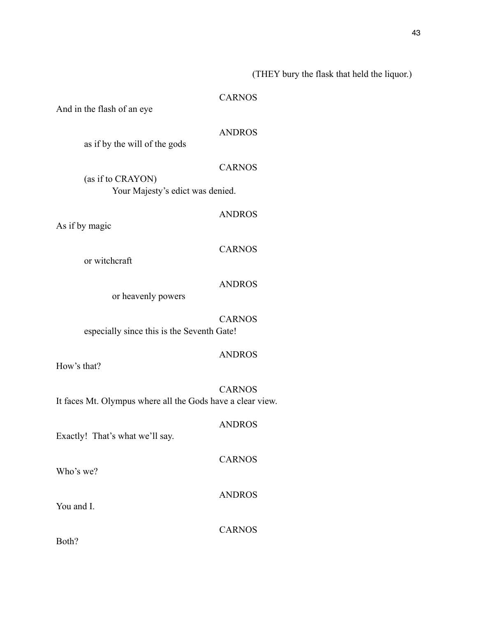# (THEY bury the flask that held the liquor.)

## CARNOS

And in the flash of an eye

# ANDROS

as if by the will of the gods

# CARNOS

 (as if to CRAYON) Your Majesty's edict was denied.

# ANDROS

As if by magic

# CARNOS

or witchcraft

# ANDROS

or heavenly powers

CARNOS especially since this is the Seventh Gate!

## ANDROS

ANDROS

CARNOS

How's that?

CARNOS It faces Mt. Olympus where all the Gods have a clear view.

Exactly! That's what we'll say.

Who's we?

You and I.

CARNOS

ANDROS

Both?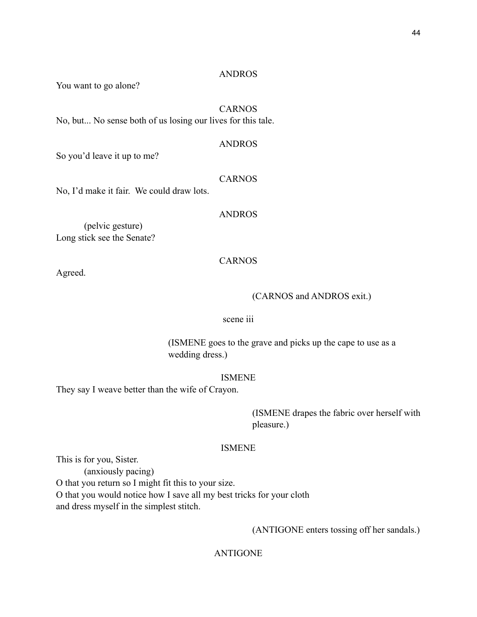#### ANDROS

You want to go alone?

# CARNOS

No, but... No sense both of us losing our lives for this tale.

#### ANDROS

So you'd leave it up to me?

#### CARNOS

No, I'd make it fair. We could draw lots.

#### ANDROS

 (pelvic gesture) Long stick see the Senate?

## CARNOS

Agreed.

#### (CARNOS and ANDROS exit.)

# scene iii

 (ISMENE goes to the grave and picks up the cape to use as a wedding dress.)

# ISMENE

They say I weave better than the wife of Crayon.

 (ISMENE drapes the fabric over herself with pleasure.)

# ISMENE

This is for you, Sister.

 (anxiously pacing) O that you return so I might fit this to your size. O that you would notice how I save all my best tricks for your cloth and dress myself in the simplest stitch.

(ANTIGONE enters tossing off her sandals.)

# ANTIGONE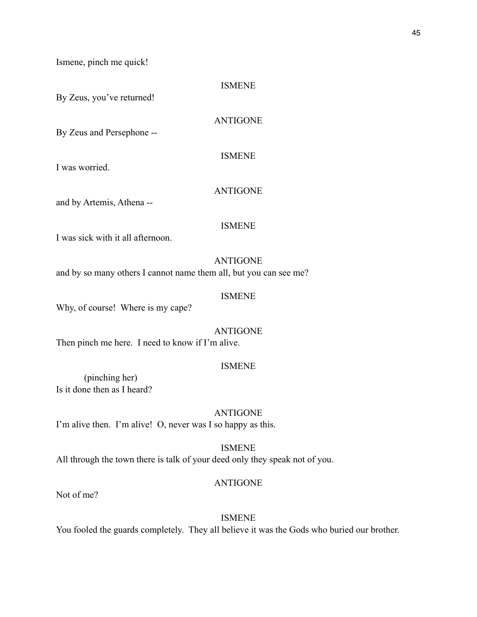Ismene, pinch me quick!

ISMENE

By Zeus, you've returned!

ANTIGONE

By Zeus and Persephone --

ISMENE

I was worried.

# ANTIGONE

and by Artemis, Athena --

### ISMENE

I was sick with it all afternoon.

#### ANTIGONE

and by so many others I cannot name them all, but you can see me?

# ISMENE

Why, of course! Where is my cape?

ANTIGONE

Then pinch me here. I need to know if I'm alive.

#### ISMENE

 (pinching her) Is it done then as I heard?

ANTIGONE

I'm alive then. I'm alive! O, never was I so happy as this.

ISMENE

All through the town there is talk of your deed only they speak not of you.

## ANTIGONE

Not of me?

# ISMENE

You fooled the guards completely. They all believe it was the Gods who buried our brother.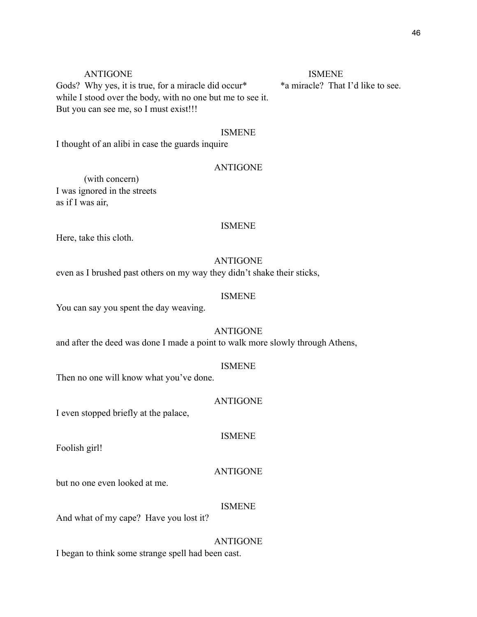# ANTIGONE ISMENE

Gods? Why yes, it is true, for a miracle did occur<sup>\*</sup> \*a miracle? That I'd like to see. while I stood over the body, with no one but me to see it. But you can see me, so I must exist!!!

# ISMENE

I thought of an alibi in case the guards inquire

#### ANTIGONE

 (with concern) I was ignored in the streets as if I was air,

#### ISMENE

Here, take this cloth.

## ANTIGONE

even as I brushed past others on my way they didn't shake their sticks,

# ISMENE

You can say you spent the day weaving.

## ANTIGONE

and after the deed was done I made a point to walk more slowly through Athens,

#### ISMENE

Then no one will know what you've done.

## ANTIGONE

I even stopped briefly at the palace,

# ISMENE

Foolish girl!

#### ANTIGONE

but no one even looked at me.

#### ISMENE

And what of my cape? Have you lost it?

#### ANTIGONE

I began to think some strange spell had been cast.

#### 46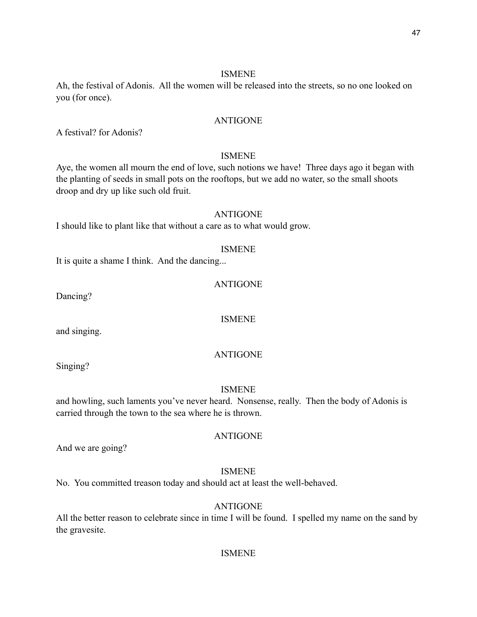# ISMENE

Ah, the festival of Adonis. All the women will be released into the streets, so no one looked on you (for once).

# ANTIGONE

A festival? for Adonis?

# ISMENE

Aye, the women all mourn the end of love, such notions we have! Three days ago it began with the planting of seeds in small pots on the rooftops, but we add no water, so the small shoots droop and dry up like such old fruit.

## ANTIGONE

I should like to plant like that without a care as to what would grow.

## ISMENE

It is quite a shame I think. And the dancing...

## ANTIGONE

Dancing?

ISMENE

and singing.

# ANTIGONE

Singing?

# ISMENE

and howling, such laments you've never heard. Nonsense, really. Then the body of Adonis is carried through the town to the sea where he is thrown.

## ANTIGONE

And we are going?

# ISMENE

No. You committed treason today and should act at least the well-behaved.

# ANTIGONE

All the better reason to celebrate since in time I will be found. I spelled my name on the sand by the gravesite.

# ISMENE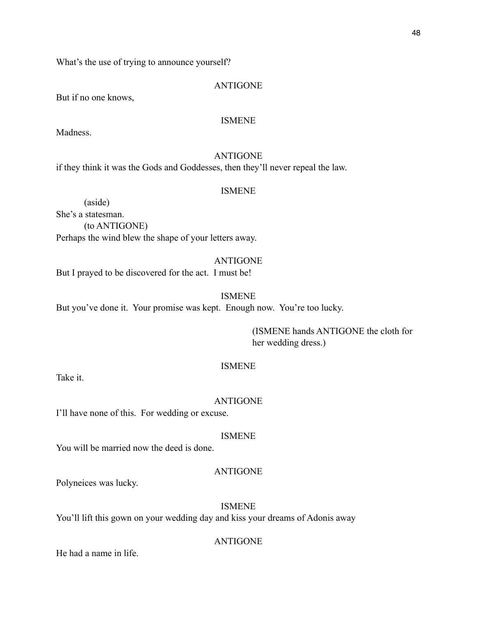What's the use of trying to announce yourself?

# ANTIGONE

But if no one knows,

# ISMENE

Madness.

# ANTIGONE

if they think it was the Gods and Goddesses, then they'll never repeal the law.

## ISMENE

 (aside) She's a statesman. (to ANTIGONE) Perhaps the wind blew the shape of your letters away.

## ANTIGONE

But I prayed to be discovered for the act. I must be!

# ISMENE

But you've done it. Your promise was kept. Enough now. You're too lucky.

 (ISMENE hands ANTIGONE the cloth for her wedding dress.)

# ISMENE

Take it.

#### ANTIGONE

I'll have none of this. For wedding or excuse.

#### ISMENE

You will be married now the deed is done.

# ANTIGONE

Polyneices was lucky.

# ISMENE

You'll lift this gown on your wedding day and kiss your dreams of Adonis away

# ANTIGONE

He had a name in life.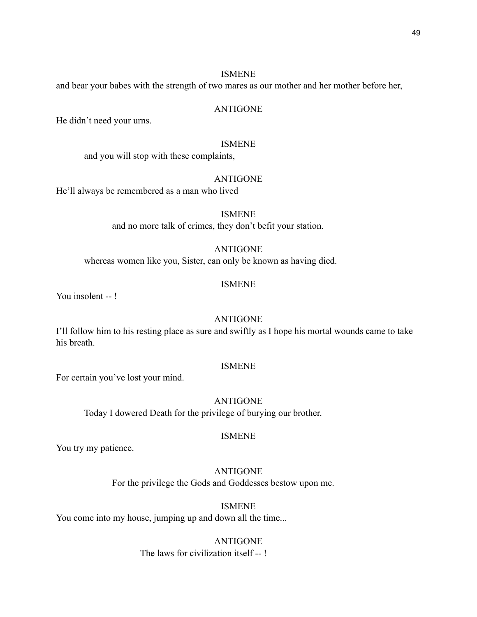#### ISMENE

and bear your babes with the strength of two mares as our mother and her mother before her,

## ANTIGONE

He didn't need your urns.

#### ISMENE

and you will stop with these complaints,

## ANTIGONE

He'll always be remembered as a man who lived

ISMENE and no more talk of crimes, they don't befit your station.

# ANTIGONE

whereas women like you, Sister, can only be known as having died.

## ISMENE

You insolent --!

## ANTIGONE

I'll follow him to his resting place as sure and swiftly as I hope his mortal wounds came to take his breath.

#### ISMENE

For certain you've lost your mind.

# ANTIGONE

Today I dowered Death for the privilege of burying our brother.

#### ISMENE

You try my patience.

# ANTIGONE

For the privilege the Gods and Goddesses bestow upon me.

## ISMENE

You come into my house, jumping up and down all the time...

# ANTIGONE

The laws for civilization itself -- !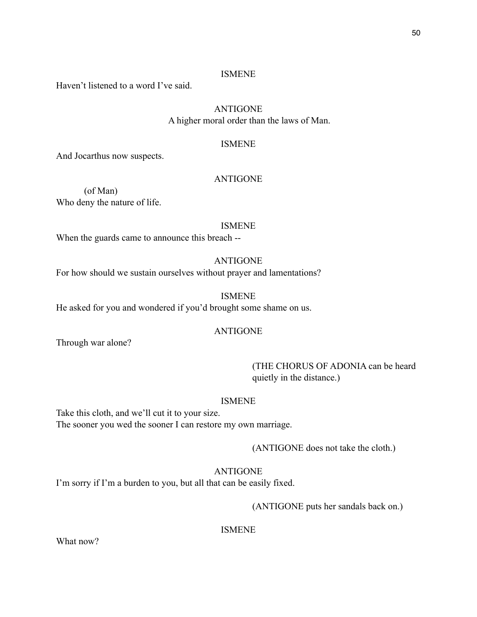# ISMENE

Haven't listened to a word I've said.

# ANTIGONE

A higher moral order than the laws of Man.

## ISMENE

And Jocarthus now suspects.

### ANTIGONE

 (of Man) Who deny the nature of life.

### ISMENE

When the guards came to announce this breach --

# ANTIGONE

For how should we sustain ourselves without prayer and lamentations?

# ISMENE

He asked for you and wondered if you'd brought some shame on us.

# ANTIGONE

Through war alone?

 (THE CHORUS OF ADONIA can be heard quietly in the distance.)

#### ISMENE

Take this cloth, and we'll cut it to your size. The sooner you wed the sooner I can restore my own marriage.

(ANTIGONE does not take the cloth.)

# ANTIGONE

I'm sorry if I'm a burden to you, but all that can be easily fixed.

(ANTIGONE puts her sandals back on.)

ISMENE

What now?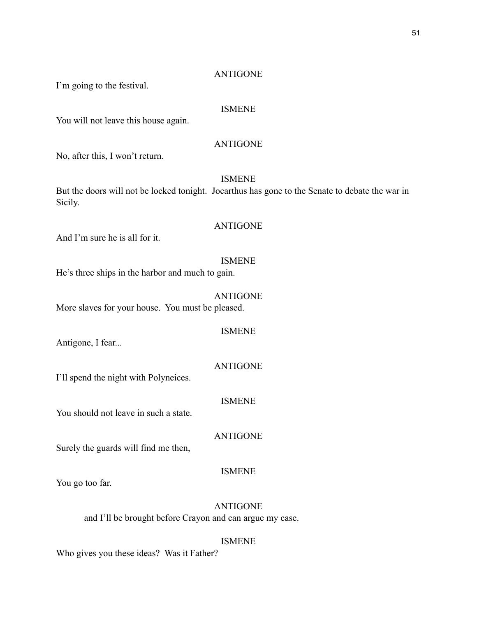## ANTIGONE

I'm going to the festival.

#### ISMENE

You will not leave this house again.

# ANTIGONE

No, after this, I won't return.

# ISMENE

But the doors will not be locked tonight. Jocarthus has gone to the Senate to debate the war in Sicily.

## ANTIGONE

And I'm sure he is all for it.

## ISMENE

He's three ships in the harbor and much to gain.

# ANTIGONE

More slaves for your house. You must be pleased.

ISMENE

Antigone, I fear...

#### ANTIGONE

I'll spend the night with Polyneices.

## ISMENE

You should not leave in such a state.

ANTIGONE

Surely the guards will find me then,

# ISMENE

You go too far.

# ANTIGONE

and I'll be brought before Crayon and can argue my case.

## ISMENE

Who gives you these ideas? Was it Father?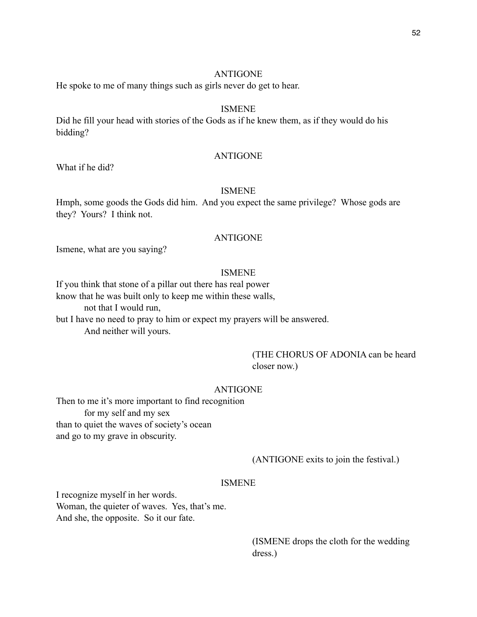## ANTIGONE

He spoke to me of many things such as girls never do get to hear.

## ISMENE

Did he fill your head with stories of the Gods as if he knew them, as if they would do his bidding?

## ANTIGONE

What if he did?

## ISMENE

Hmph, some goods the Gods did him. And you expect the same privilege? Whose gods are they? Yours? I think not.

## ANTIGONE

Ismene, what are you saying?

# ISMENE

If you think that stone of a pillar out there has real power know that he was built only to keep me within these walls, not that I would run,

but I have no need to pray to him or expect my prayers will be answered. And neither will yours.

# (THE CHORUS OF ADONIA can be heard closer now.)

## ANTIGONE

Then to me it's more important to find recognition for my self and my sex than to quiet the waves of society's ocean and go to my grave in obscurity.

# (ANTIGONE exits to join the festival.)

#### ISMENE

I recognize myself in her words. Woman, the quieter of waves. Yes, that's me. And she, the opposite. So it our fate.

> (ISMENE drops the cloth for the wedding dress.)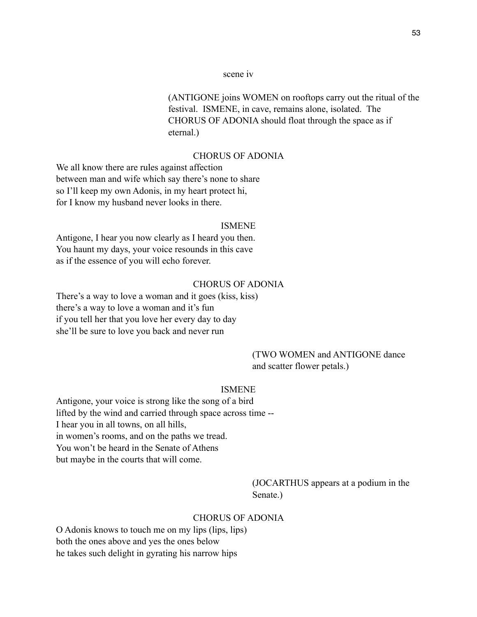#### scene iv

 (ANTIGONE joins WOMEN on rooftops carry out the ritual of the festival. ISMENE, in cave, remains alone, isolated. The CHORUS OF ADONIA should float through the space as if eternal.)

# CHORUS OF ADONIA

We all know there are rules against affection between man and wife which say there's none to share so I'll keep my own Adonis, in my heart protect hi, for I know my husband never looks in there.

#### ISMENE

Antigone, I hear you now clearly as I heard you then. You haunt my days, your voice resounds in this cave as if the essence of you will echo forever.

## CHORUS OF ADONIA

There's a way to love a woman and it goes (kiss, kiss) there's a way to love a woman and it's fun if you tell her that you love her every day to day she'll be sure to love you back and never run

# (TWO WOMEN and ANTIGONE dance and scatter flower petals.)

#### ISMENE

Antigone, your voice is strong like the song of a bird lifted by the wind and carried through space across time -- I hear you in all towns, on all hills, in women's rooms, and on the paths we tread. You won't be heard in the Senate of Athens but maybe in the courts that will come.

> (JOCARTHUS appears at a podium in the Senate.)

# CHORUS OF ADONIA

O Adonis knows to touch me on my lips (lips, lips) both the ones above and yes the ones below he takes such delight in gyrating his narrow hips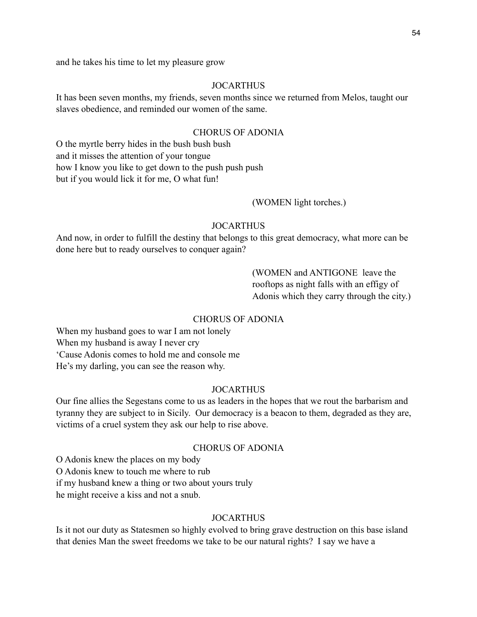and he takes his time to let my pleasure grow

# JOCARTHUS

It has been seven months, my friends, seven months since we returned from Melos, taught our slaves obedience, and reminded our women of the same.

# CHORUS OF ADONIA

O the myrtle berry hides in the bush bush bush and it misses the attention of your tongue how I know you like to get down to the push push push but if you would lick it for me, O what fun!

## (WOMEN light torches.)

#### JOCARTHUS

And now, in order to fulfill the destiny that belongs to this great democracy, what more can be done here but to ready ourselves to conquer again?

> (WOMEN and ANTIGONE leave the rooftops as night falls with an effigy of Adonis which they carry through the city.)

## CHORUS OF ADONIA

When my husband goes to war I am not lonely When my husband is away I never cry 'Cause Adonis comes to hold me and console me He's my darling, you can see the reason why.

#### JOCARTHUS

Our fine allies the Segestans come to us as leaders in the hopes that we rout the barbarism and tyranny they are subject to in Sicily. Our democracy is a beacon to them, degraded as they are, victims of a cruel system they ask our help to rise above.

# CHORUS OF ADONIA

O Adonis knew the places on my body O Adonis knew to touch me where to rub if my husband knew a thing or two about yours truly he might receive a kiss and not a snub.

# **JOCARTHUS**

Is it not our duty as Statesmen so highly evolved to bring grave destruction on this base island that denies Man the sweet freedoms we take to be our natural rights? I say we have a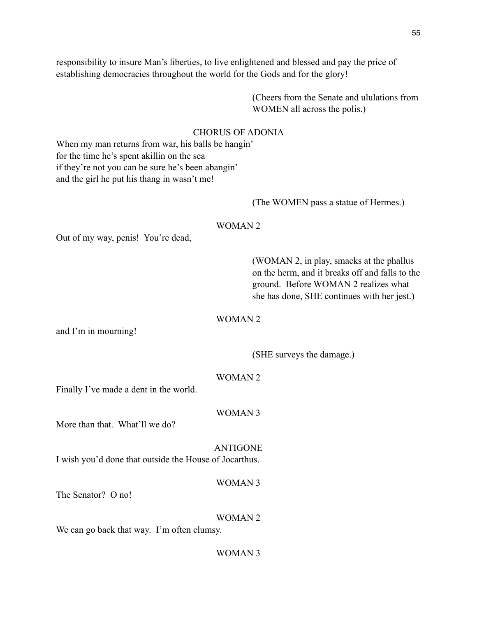responsibility to insure Man's liberties, to live enlightened and blessed and pay the price of establishing democracies throughout the world for the Gods and for the glory!

> (Cheers from the Senate and ululations from WOMEN all across the polis.)

# CHORUS OF ADONIA

When my man returns from war, his balls be hangin' for the time he's spent akillin on the sea if they're not you can be sure he's been abangin' and the girl he put his thang in wasn't me!

#### (The WOMEN pass a statue of Hermes.)

#### WOMAN 2

Out of my way, penis! You're dead,

 (WOMAN 2, in play, smacks at the phallus on the herm, and it breaks off and falls to the ground. Before WOMAN 2 realizes what she has done, SHE continues with her jest.)

#### WOMAN 2

and I'm in mourning!

(SHE surveys the damage.)

## WOMAN 2

Finally I've made a dent in the world.

WOMAN 3

More than that. What'll we do?

ANTIGONE I wish you'd done that outside the House of Jocarthus.

WOMAN 3

The Senator? O no!

WOMAN 2

We can go back that way. I'm often clumsy.

# WOMAN 3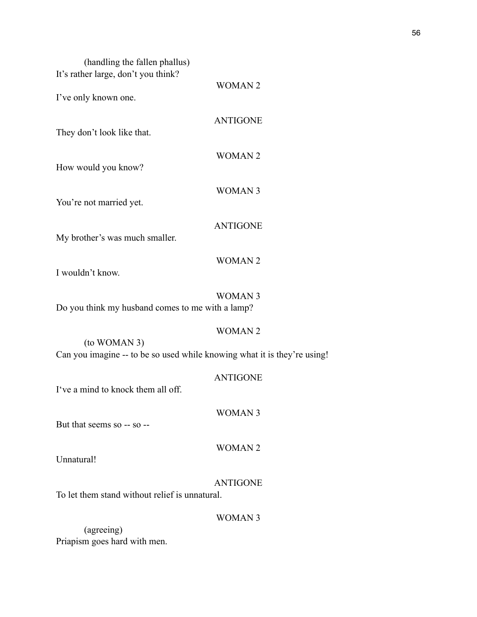| (handling the fallen phallus)<br>It's rather large, don't you think?                     |                 |
|------------------------------------------------------------------------------------------|-----------------|
| I've only known one.                                                                     | <b>WOMAN2</b>   |
| They don't look like that.                                                               | <b>ANTIGONE</b> |
| How would you know?                                                                      | <b>WOMAN2</b>   |
| You're not married yet.                                                                  | <b>WOMAN3</b>   |
| My brother's was much smaller.                                                           | <b>ANTIGONE</b> |
| I wouldn't know.                                                                         | <b>WOMAN2</b>   |
| Do you think my husband comes to me with a lamp?                                         | <b>WOMAN3</b>   |
| (to WOMAN 3)<br>Can you imagine -- to be so used while knowing what it is they're using! | <b>WOMAN2</b>   |
| I've a mind to knock them all off.                                                       | <b>ANTIGONE</b> |
| But that seems so -- so --                                                               | <b>WOMAN3</b>   |
| Unnatural!                                                                               | <b>WOMAN2</b>   |
| To let them stand without relief is unnatural.                                           | <b>ANTIGONE</b> |
| (agreeing)<br>Priapism goes hard with men.                                               | <b>WOMAN3</b>   |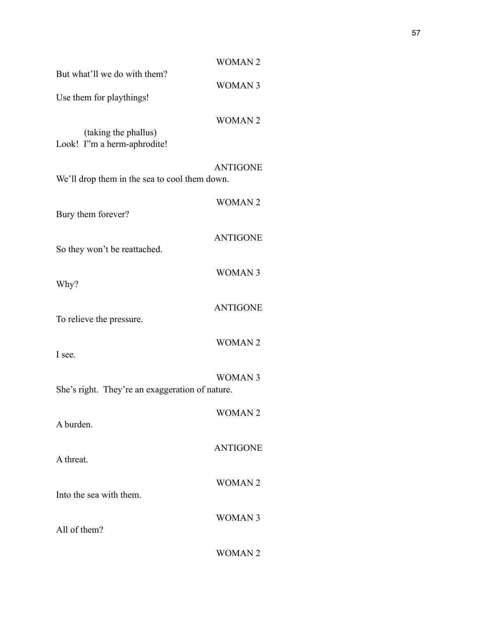|                                                     | <b>WOMAN2</b>   |
|-----------------------------------------------------|-----------------|
| But what'll we do with them?                        | <b>WOMAN 3</b>  |
| Use them for playthings!                            |                 |
| (taking the phallus)<br>Look! I'm a herm-aphrodite! | <b>WOMAN2</b>   |
| We'll drop them in the sea to cool them down.       | <b>ANTIGONE</b> |
| Bury them forever?                                  | <b>WOMAN2</b>   |
| So they won't be reattached.                        | <b>ANTIGONE</b> |
| Why?                                                | <b>WOMAN3</b>   |
| To relieve the pressure.                            | <b>ANTIGONE</b> |
| I see.                                              | <b>WOMAN2</b>   |
| She's right. They're an exaggeration of nature.     | <b>WOMAN3</b>   |
| A burden.                                           | <b>WOMAN2</b>   |
| A threat.                                           | <b>ANTIGONE</b> |
| Into the sea with them.                             | <b>WOMAN2</b>   |
| All of them?                                        | <b>WOMAN3</b>   |
|                                                     | <b>WOMAN2</b>   |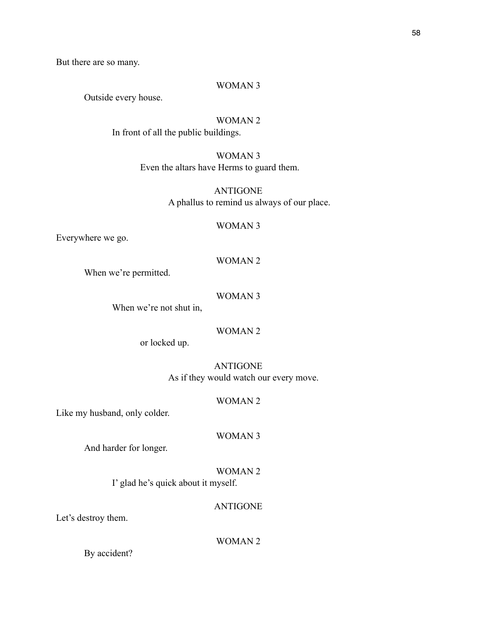But there are so many.

## WOMAN 3

Outside every house.

# WOMAN 2

In front of all the public buildings.

# WOMAN 3 Even the altars have Herms to guard them.

ANTIGONE A phallus to remind us always of our place.

#### WOMAN 3

Everywhere we go.

# WOMAN 2

When we're permitted.

# WOMAN 3

When we're not shut in,

# WOMAN 2

or locked up.

ANTIGONE As if they would watch our every move.

#### WOMAN 2

Like my husband, only colder.

#### WOMAN 3

And harder for longer.

# WOMAN 2

I' glad he's quick about it myself.

# ANTIGONE

Let's destroy them.

# WOMAN 2

By accident?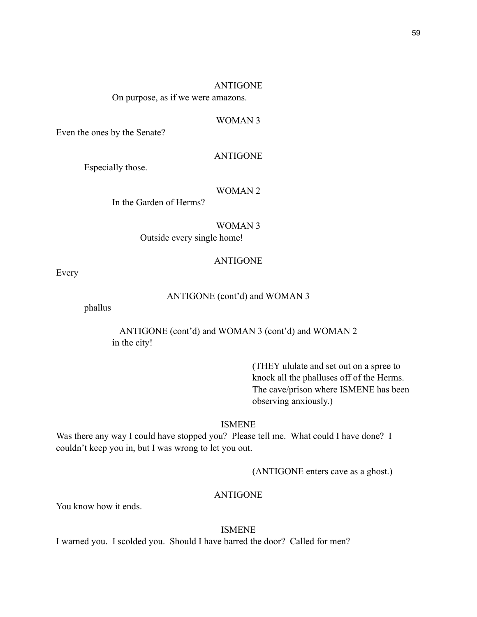#### ANTIGONE

On purpose, as if we were amazons.

### WOMAN 3

Even the ones by the Senate?

#### ANTIGONE

Especially those.

#### WOMAN 2

In the Garden of Herms?

#### WOMAN 3

Outside every single home!

#### ANTIGONE

Every

# ANTIGONE (cont'd) and WOMAN 3

phallus

ANTIGONE (cont'd) and WOMAN 3 (cont'd) and WOMAN 2 in the city!

> (THEY ululate and set out on a spree to knock all the phalluses off of the Herms. The cave/prison where ISMENE has been observing anxiously.)

# ISMENE

Was there any way I could have stopped you? Please tell me. What could I have done? I couldn't keep you in, but I was wrong to let you out.

(ANTIGONE enters cave as a ghost.)

# ANTIGONE

You know how it ends.

ISMENE I warned you. I scolded you. Should I have barred the door? Called for men?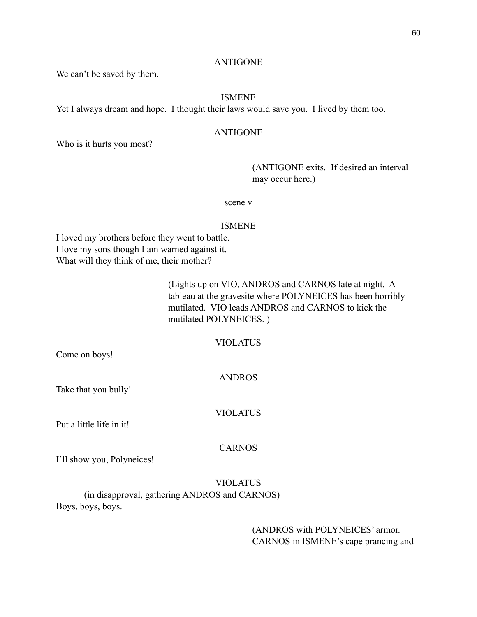### ANTIGONE

We can't be saved by them.

# ISMENE

Yet I always dream and hope. I thought their laws would save you. I lived by them too.

## ANTIGONE

Who is it hurts you most?

 (ANTIGONE exits. If desired an interval may occur here.)

scene v

#### ISMENE

I loved my brothers before they went to battle. I love my sons though I am warned against it. What will they think of me, their mother?

> (Lights up on VIO, ANDROS and CARNOS late at night. A tableau at the gravesite where POLYNEICES has been horribly mutilated. VIO leads ANDROS and CARNOS to kick the mutilated POLYNEICES. )

# VIOLATUS

Come on boys!

ANDROS

Take that you bully!

VIOLATUS

Put a little life in it!

# CARNOS

I'll show you, Polyneices!

# VIOLATUS (in disapproval, gathering ANDROS and CARNOS) Boys, boys, boys.

 (ANDROS with POLYNEICES' armor. CARNOS in ISMENE's cape prancing and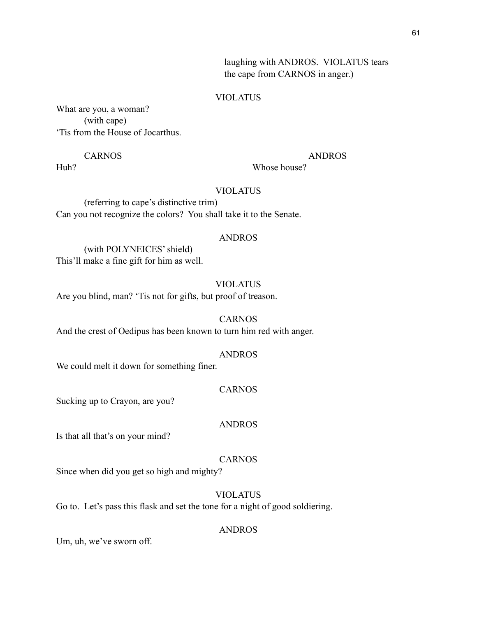laughing with ANDROS. VIOLATUS tears the cape from CARNOS in anger.)

#### VIOLATUS

What are you, a woman? (with cape) 'Tis from the House of Jocarthus.

CARNOS ANDROS

Huh? Whose house?

# VIOLATUS

 (referring to cape's distinctive trim) Can you not recognize the colors? You shall take it to the Senate.

## ANDROS

 (with POLYNEICES' shield) This'll make a fine gift for him as well.

# VIOLATUS

Are you blind, man? 'Tis not for gifts, but proof of treason.

#### CARNOS

And the crest of Oedipus has been known to turn him red with anger.

#### ANDROS

We could melt it down for something finer.

#### CARNOS

Sucking up to Crayon, are you?

## ANDROS

Is that all that's on your mind?

# CARNOS

Since when did you get so high and mighty?

# VIOLATUS

Go to. Let's pass this flask and set the tone for a night of good soldiering.

#### ANDROS

Um, uh, we've sworn off.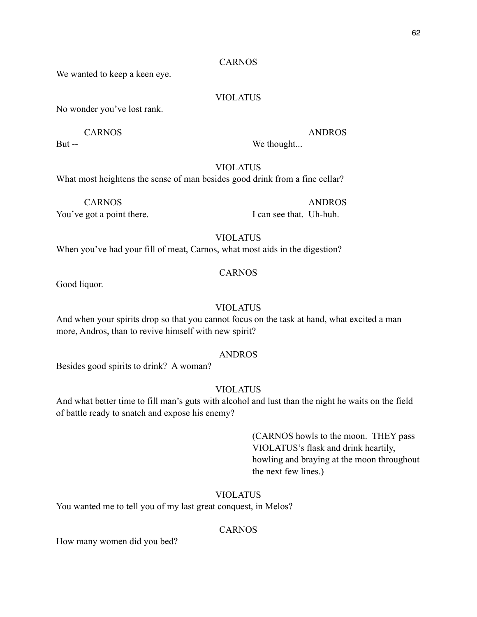# CARNOS

We wanted to keep a keen eye.

# VIOLATUS

No wonder you've lost rank.

But -- We thought...

CARNOS ANDROS

# VIOLATUS

What most heightens the sense of man besides good drink from a fine cellar?

 CARNOS ANDROS You've got a point there. I can see that. Uh-huh.

# VIOLATUS

When you've had your fill of meat, Carnos, what most aids in the digestion?

# CARNOS

Good liquor.

# VIOLATUS

And when your spirits drop so that you cannot focus on the task at hand, what excited a man more, Andros, than to revive himself with new spirit?

## ANDROS

Besides good spirits to drink? A woman?

# VIOLATUS

And what better time to fill man's guts with alcohol and lust than the night he waits on the field of battle ready to snatch and expose his enemy?

> (CARNOS howls to the moon. THEY pass VIOLATUS's flask and drink heartily, howling and braying at the moon throughout the next few lines.)

# VIOLATUS

You wanted me to tell you of my last great conquest, in Melos?

# CARNOS

How many women did you bed?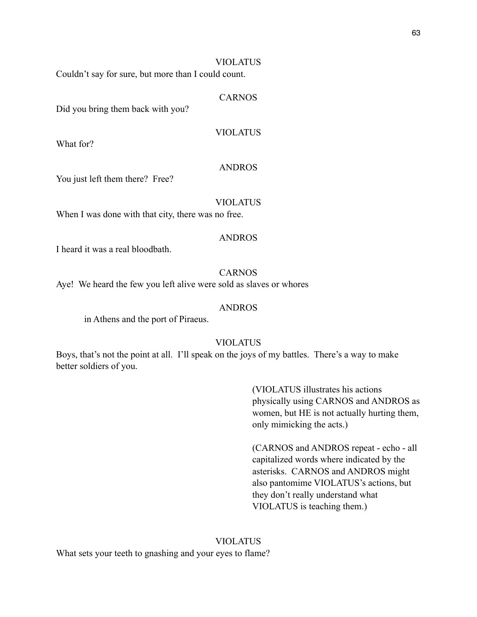# VIOLATUS

Couldn't say for sure, but more than I could count.

#### CARNOS

Did you bring them back with you?

VIOLATUS

What for?

# ANDROS

You just left them there? Free?

# VIOLATUS

When I was done with that city, there was no free.

#### ANDROS

I heard it was a real bloodbath.

# CARNOS

Aye! We heard the few you left alive were sold as slaves or whores

## ANDROS

in Athens and the port of Piraeus.

# VIOLATUS

Boys, that's not the point at all. I'll speak on the joys of my battles. There's a way to make better soldiers of you.

> (VIOLATUS illustrates his actions physically using CARNOS and ANDROS as women, but HE is not actually hurting them, only mimicking the acts.)

 (CARNOS and ANDROS repeat - echo - all capitalized words where indicated by the asterisks. CARNOS and ANDROS might also pantomime VIOLATUS's actions, but they don't really understand what VIOLATUS is teaching them.)

## VIOLATUS

What sets your teeth to gnashing and your eyes to flame?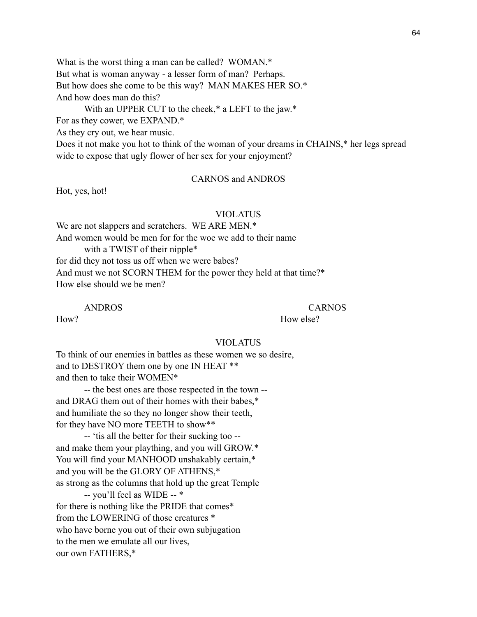What is the worst thing a man can be called? WOMAN.\* But what is woman anyway - a lesser form of man? Perhaps. But how does she come to be this way? MAN MAKES HER SO.\* And how does man do this?

With an UPPER CUT to the cheek,\* a LEFT to the jaw.\*

For as they cower, we EXPAND.\*

As they cry out, we hear music.

Does it not make you hot to think of the woman of your dreams in CHAINS,<sup>\*</sup> her legs spread wide to expose that ugly flower of her sex for your enjoyment?

# CARNOS and ANDROS

Hot, yes, hot!

#### VIOLATUS

We are not slappers and scratchers. WE ARE MEN.\* And women would be men for for the woe we add to their name with a TWIST of their nipple<sup>\*</sup> for did they not toss us off when we were babes? And must we not SCORN THEM for the power they held at that time?\* How else should we be men?

ANDROS CARNOS

How? How else?

#### VIOLATUS

To think of our enemies in battles as these women we so desire, and to DESTROY them one by one IN HEAT \*\* and then to take their WOMEN\*

 -- the best ones are those respected in the town - and DRAG them out of their homes with their babes,\* and humiliate the so they no longer show their teeth, for they have NO more TEETH to show\*\*

 -- 'tis all the better for their sucking too - and make them your plaything, and you will GROW.\* You will find your MANHOOD unshakably certain,\* and you will be the GLORY OF ATHENS,\* as strong as the columns that hold up the great Temple

 -- you'll feel as WIDE -- \* for there is nothing like the PRIDE that comes\* from the LOWERING of those creatures \* who have borne you out of their own subjugation to the men we emulate all our lives, our own FATHERS,\*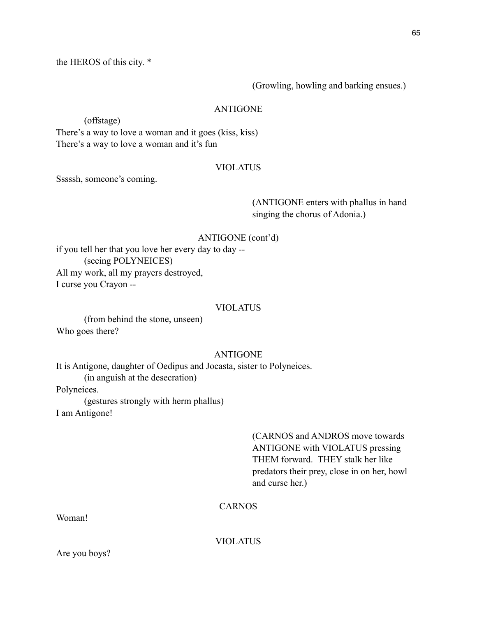the HEROS of this city. \*

(Growling, howling and barking ensues.)

# ANTIGONE

(offstage)

There's a way to love a woman and it goes (kiss, kiss) There's a way to love a woman and it's fun

# VIOLATUS

Sssssh, someone's coming.

 (ANTIGONE enters with phallus in hand singing the chorus of Adonia.)

# ANTIGONE (cont'd)

if you tell her that you love her every day to day -- (seeing POLYNEICES) All my work, all my prayers destroyed, I curse you Crayon --

# VIOLATUS

 (from behind the stone, unseen) Who goes there?

# ANTIGONE

It is Antigone, daughter of Oedipus and Jocasta, sister to Polyneices. (in anguish at the desecration)

Polyneices.

(gestures strongly with herm phallus)

I am Antigone!

 (CARNOS and ANDROS move towards ANTIGONE with VIOLATUS pressing THEM forward. THEY stalk her like predators their prey, close in on her, howl and curse her.)

# CARNOS

Woman!

VIOLATUS

Are you boys?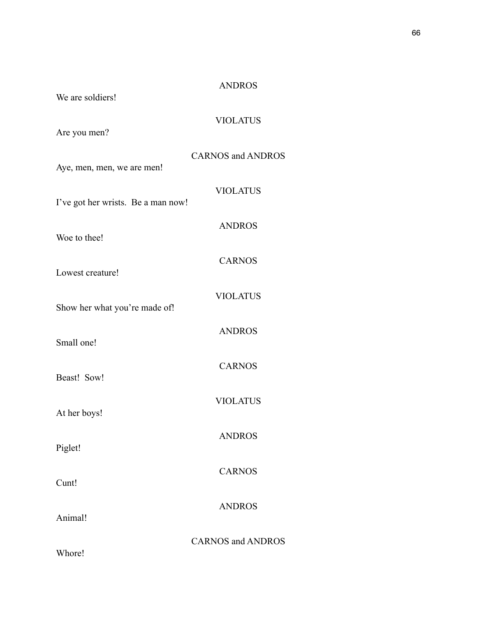| We are soldiers!                   | <b>ANDROS</b>            |
|------------------------------------|--------------------------|
| Are you men?                       | <b>VIOLATUS</b>          |
| Aye, men, men, we are men!         | <b>CARNOS and ANDROS</b> |
| I've got her wrists. Be a man now! | <b>VIOLATUS</b>          |
| Woe to thee!                       | <b>ANDROS</b>            |
| Lowest creature!                   | <b>CARNOS</b>            |
| Show her what you're made of!      | <b>VIOLATUS</b>          |
| Small one!                         | <b>ANDROS</b>            |
| Beast! Sow!                        | <b>CARNOS</b>            |
|                                    | <b>VIOLATUS</b>          |
| At her boys!                       | <b>ANDROS</b>            |
| Piglet!                            | <b>CARNOS</b>            |
| Cunt!                              | <b>ANDROS</b>            |
| Animal!                            | <b>CARNOS and ANDROS</b> |
| Whore!                             |                          |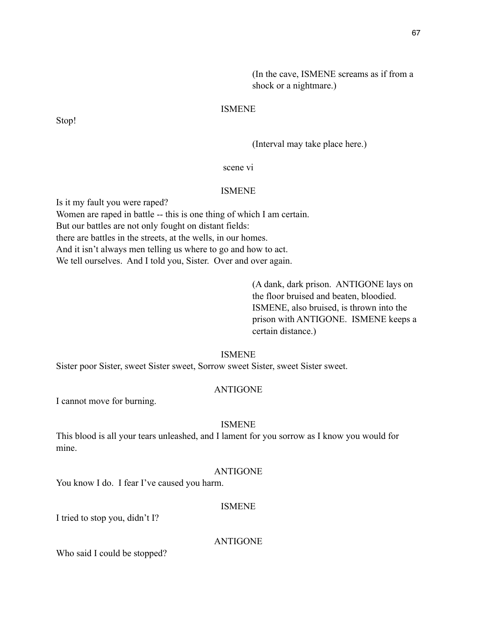(In the cave, ISMENE screams as if from a shock or a nightmare.)

# ISMENE

Stop!

(Interval may take place here.)

scene vi

#### ISMENE

Is it my fault you were raped? Women are raped in battle -- this is one thing of which I am certain. But our battles are not only fought on distant fields: there are battles in the streets, at the wells, in our homes. And it isn't always men telling us where to go and how to act. We tell ourselves. And I told you, Sister. Over and over again.

> (A dank, dark prison. ANTIGONE lays on the floor bruised and beaten, bloodied. ISMENE, also bruised, is thrown into the prison with ANTIGONE. ISMENE keeps a certain distance.)

## ISMENE

Sister poor Sister, sweet Sister sweet, Sorrow sweet Sister, sweet Sister sweet.

#### ANTIGONE

I cannot move for burning.

## ISMENE

This blood is all your tears unleashed, and I lament for you sorrow as I know you would for mine.

#### ANTIGONE

You know I do. I fear I've caused you harm.

### ISMENE

I tried to stop you, didn't I?

## ANTIGONE

Who said I could be stopped?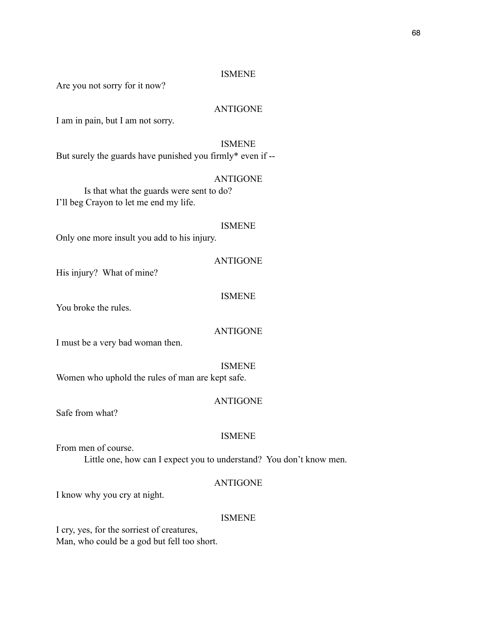# ISMENE

Are you not sorry for it now?

## ANTIGONE

I am in pain, but I am not sorry.

# ISMENE

But surely the guards have punished you firmly\* even if --

### ANTIGONE

 Is that what the guards were sent to do? I'll beg Crayon to let me end my life.

#### ISMENE

Only one more insult you add to his injury.

### ANTIGONE

His injury? What of mine?

# ISMENE

You broke the rules.

# ANTIGONE

I must be a very bad woman then.

#### ISMENE

Women who uphold the rules of man are kept safe.

## ANTIGONE

Safe from what?

## ISMENE

From men of course. Little one, how can I expect you to understand? You don't know men.

#### ANTIGONE

I know why you cry at night.

#### ISMENE

I cry, yes, for the sorriest of creatures, Man, who could be a god but fell too short.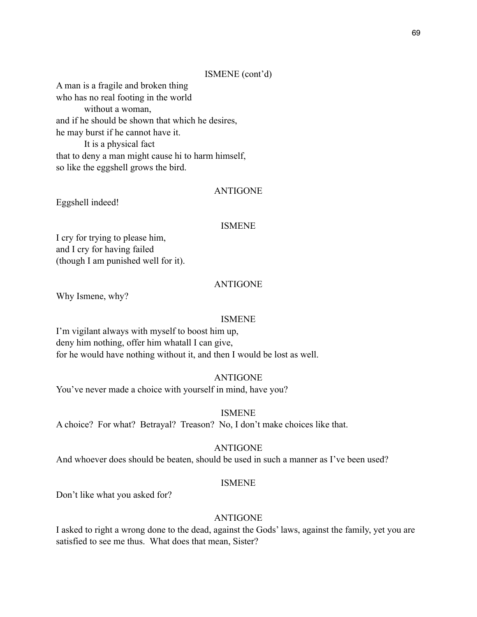#### ISMENE (cont'd)

A man is a fragile and broken thing who has no real footing in the world without a woman, and if he should be shown that which he desires, he may burst if he cannot have it. It is a physical fact that to deny a man might cause hi to harm himself, so like the eggshell grows the bird.

#### ANTIGONE

Eggshell indeed!

#### ISMENE

I cry for trying to please him, and I cry for having failed (though I am punished well for it).

#### ANTIGONE

Why Ismene, why?

#### ISMENE

I'm vigilant always with myself to boost him up, deny him nothing, offer him whatall I can give, for he would have nothing without it, and then I would be lost as well.

# ANTIGONE

You've never made a choice with yourself in mind, have you?

#### ISMENE

A choice? For what? Betrayal? Treason? No, I don't make choices like that.

#### ANTIGONE

And whoever does should be beaten, should be used in such a manner as I've been used?

#### ISMENE

Don't like what you asked for?

# ANTIGONE

I asked to right a wrong done to the dead, against the Gods' laws, against the family, yet you are satisfied to see me thus. What does that mean, Sister?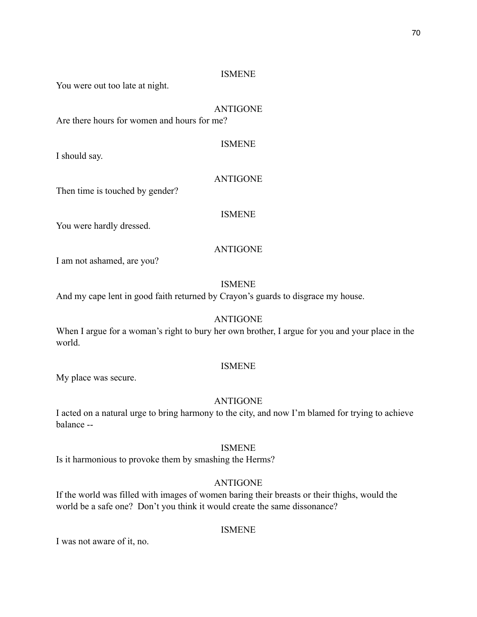You were out too late at night.

# ANTIGONE

ISMENE

Are there hours for women and hours for me?

I should say.

# ANTIGONE

Then time is touched by gender?

# ISMENE

You were hardly dressed.

# ANTIGONE

I am not ashamed, are you?

# ISMENE

And my cape lent in good faith returned by Crayon's guards to disgrace my house.

# ANTIGONE

When I argue for a woman's right to bury her own brother, I argue for you and your place in the world.

# ISMENE

My place was secure.

# ANTIGONE

I acted on a natural urge to bring harmony to the city, and now I'm blamed for trying to achieve balance --

# ISMENE

Is it harmonious to provoke them by smashing the Herms?

# ANTIGONE

If the world was filled with images of women baring their breasts or their thighs, would the world be a safe one? Don't you think it would create the same dissonance?

# ISMENE

I was not aware of it, no.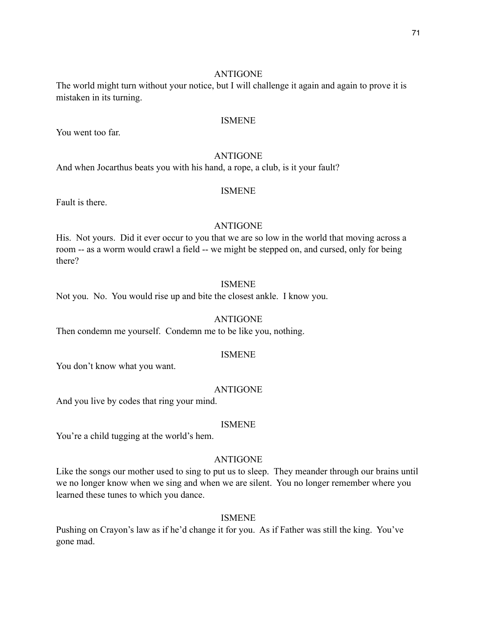The world might turn without your notice, but I will challenge it again and again to prove it is mistaken in its turning.

# ISMENE

You went too far.

# ANTIGONE

And when Jocarthus beats you with his hand, a rope, a club, is it your fault?

#### ISMENE

Fault is there.

#### ANTIGONE

His. Not yours. Did it ever occur to you that we are so low in the world that moving across a room -- as a worm would crawl a field -- we might be stepped on, and cursed, only for being there?

# ISMENE

Not you. No. You would rise up and bite the closest ankle. I know you.

#### ANTIGONE

Then condemn me yourself. Condemn me to be like you, nothing.

#### ISMENE

You don't know what you want.

#### ANTIGONE

And you live by codes that ring your mind.

#### ISMENE

You're a child tugging at the world's hem.

# ANTIGONE

Like the songs our mother used to sing to put us to sleep. They meander through our brains until we no longer know when we sing and when we are silent. You no longer remember where you learned these tunes to which you dance.

# ISMENE

Pushing on Crayon's law as if he'd change it for you. As if Father was still the king. You've gone mad.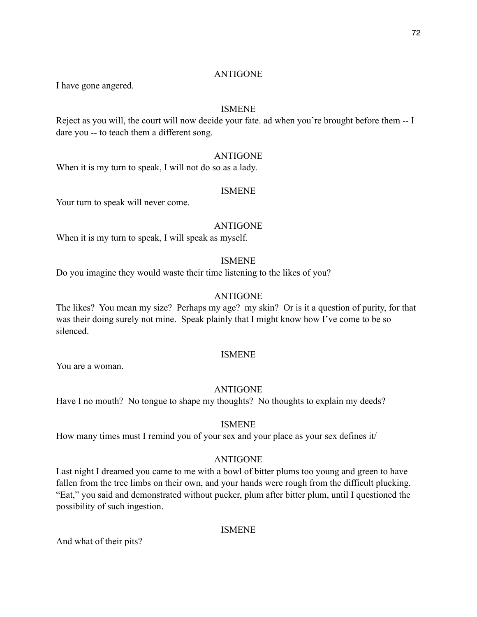I have gone angered.

# ISMENE

Reject as you will, the court will now decide your fate. ad when you're brought before them -- I dare you -- to teach them a different song.

### ANTIGONE

When it is my turn to speak, I will not do so as a lady.

#### ISMENE

Your turn to speak will never come.

#### ANTIGONE

When it is my turn to speak, I will speak as myself.

# ISMENE

Do you imagine they would waste their time listening to the likes of you?

# ANTIGONE

The likes? You mean my size? Perhaps my age? my skin? Or is it a question of purity, for that was their doing surely not mine. Speak plainly that I might know how I've come to be so silenced.

#### ISMENE

You are a woman.

# ANTIGONE

Have I no mouth? No tongue to shape my thoughts? No thoughts to explain my deeds?

# ISMENE

How many times must I remind you of your sex and your place as your sex defines it/

# ANTIGONE

Last night I dreamed you came to me with a bowl of bitter plums too young and green to have fallen from the tree limbs on their own, and your hands were rough from the difficult plucking. "Eat," you said and demonstrated without pucker, plum after bitter plum, until I questioned the possibility of such ingestion.

#### ISMENE

And what of their pits?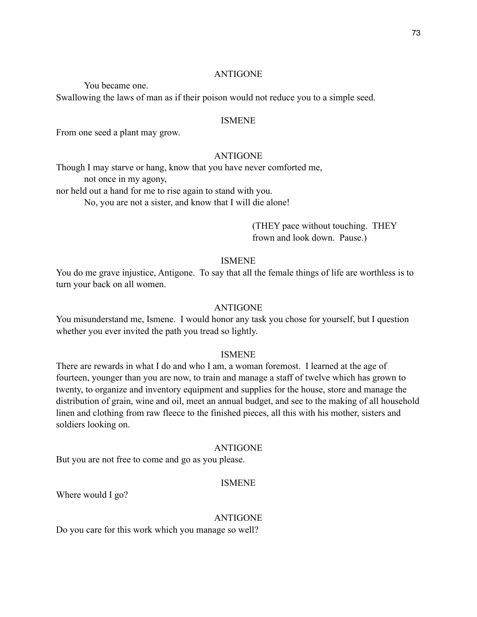You became one.

Swallowing the laws of man as if their poison would not reduce you to a simple seed.

# ISMENE

From one seed a plant may grow.

# ANTIGONE

Though I may starve or hang, know that you have never comforted me,

not once in my agony,

nor held out a hand for me to rise again to stand with you.

No, you are not a sister, and know that I will die alone!

 (THEY pace without touching. THEY frown and look down. Pause.)

#### ISMENE

You do me grave injustice, Antigone. To say that all the female things of life are worthless is to turn your back on all women.

#### ANTIGONE

You misunderstand me, Ismene. I would honor any task you chose for yourself, but I question whether you ever invited the path you tread so lightly.

#### ISMENE

There are rewards in what I do and who I am, a woman foremost. I learned at the age of fourteen, younger than you are now, to train and manage a staff of twelve which has grown to twenty, to organize and inventory equipment and supplies for the house, store and manage the distribution of grain, wine and oil, meet an annual budget, and see to the making of all household linen and clothing from raw fleece to the finished pieces, all this with his mother, sisters and soldiers looking on.

#### ANTIGONE

But you are not free to come and go as you please.

#### ISMENE

Where would I go?

#### ANTIGONE

Do you care for this work which you manage so well?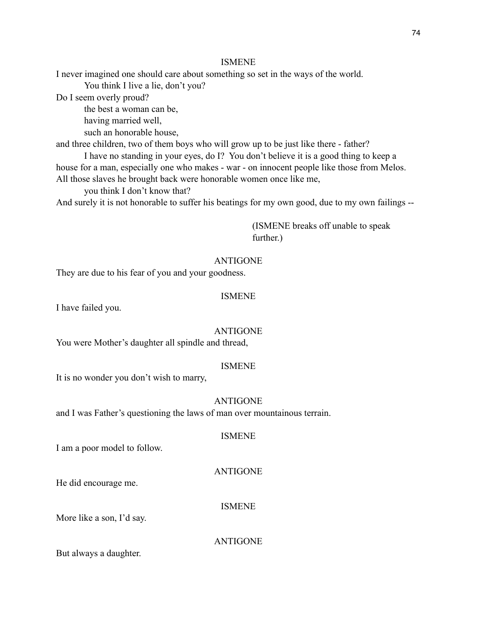I never imagined one should care about something so set in the ways of the world.

You think I live a lie, don't you?

Do I seem overly proud?

the best a woman can be,

having married well,

such an honorable house,

and three children, two of them boys who will grow up to be just like there - father?

 I have no standing in your eyes, do I? You don't believe it is a good thing to keep a house for a man, especially one who makes - war - on innocent people like those from Melos. All those slaves he brought back were honorable women once like me,

you think I don't know that?

And surely it is not honorable to suffer his beatings for my own good, due to my own failings --

 (ISMENE breaks off unable to speak further.)

# ANTIGONE

They are due to his fear of you and your goodness.

# ISMENE

I have failed you.

#### ANTIGONE

You were Mother's daughter all spindle and thread,

#### ISMENE

It is no wonder you don't wish to marry,

#### ANTIGONE

and I was Father's questioning the laws of man over mountainous terrain.

#### ISMENE

I am a poor model to follow.

#### ANTIGONE

He did encourage me.

#### ISMENE

More like a son, I'd say.

ANTIGONE

But always a daughter.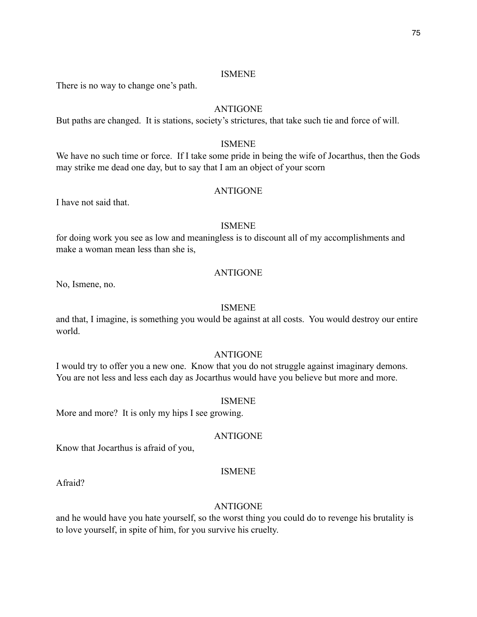There is no way to change one's path.

# ANTIGONE

But paths are changed. It is stations, society's strictures, that take such tie and force of will.

#### ISMENE

We have no such time or force. If I take some pride in being the wife of Jocarthus, then the Gods may strike me dead one day, but to say that I am an object of your scorn

#### ANTIGONE

I have not said that.

#### ISMENE

for doing work you see as low and meaningless is to discount all of my accomplishments and make a woman mean less than she is,

# ANTIGONE

No, Ismene, no.

# ISMENE

and that, I imagine, is something you would be against at all costs. You would destroy our entire world.

# ANTIGONE

I would try to offer you a new one. Know that you do not struggle against imaginary demons. You are not less and less each day as Jocarthus would have you believe but more and more.

#### ISMENE

More and more? It is only my hips I see growing.

#### ANTIGONE

Know that Jocarthus is afraid of you,

# ISMENE

Afraid?

#### ANTIGONE

and he would have you hate yourself, so the worst thing you could do to revenge his brutality is to love yourself, in spite of him, for you survive his cruelty.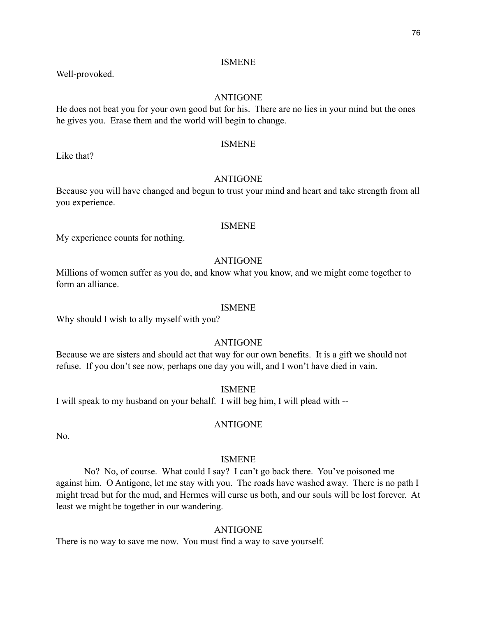Well-provoked.

# ANTIGONE

He does not beat you for your own good but for his. There are no lies in your mind but the ones he gives you. Erase them and the world will begin to change.

#### ISMENE

Like that?

# ANTIGONE

Because you will have changed and begun to trust your mind and heart and take strength from all you experience.

#### ISMENE

My experience counts for nothing.

# ANTIGONE

Millions of women suffer as you do, and know what you know, and we might come together to form an alliance.

#### ISMENE

Why should I wish to ally myself with you?

# ANTIGONE

Because we are sisters and should act that way for our own benefits. It is a gift we should not refuse. If you don't see now, perhaps one day you will, and I won't have died in vain.

ISMENE

I will speak to my husband on your behalf. I will beg him, I will plead with --

# ANTIGONE

No.

#### ISMENE

 No? No, of course. What could I say? I can't go back there. You've poisoned me against him. O Antigone, let me stay with you. The roads have washed away. There is no path I might tread but for the mud, and Hermes will curse us both, and our souls will be lost forever. At least we might be together in our wandering.

# ANTIGONE

There is no way to save me now. You must find a way to save yourself.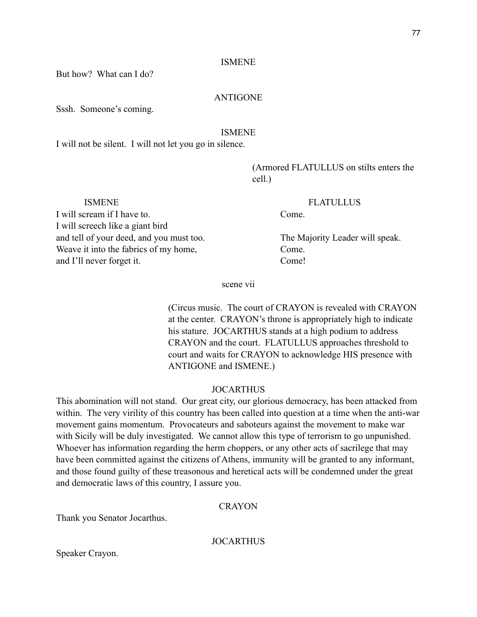But how? What can I do?

# ANTIGONE

Sssh. Someone's coming.

# ISMENE

I will not be silent. I will not let you go in silence.

 (Armored FLATULLUS on stilts enters the cell.)

 ISMENE FLATULLUS I will scream if I have to. Come. I will screech like a giant bird and tell of your deed, and you must too. The Majority Leader will speak. Weave it into the fabrics of my home, Come. and I'll never forget it. Come!

scene vii

 (Circus music. The court of CRAYON is revealed with CRAYON at the center. CRAYON's throne is appropriately high to indicate his stature. JOCARTHUS stands at a high podium to address CRAYON and the court. FLATULLUS approaches threshold to court and waits for CRAYON to acknowledge HIS presence with ANTIGONE and ISMENE.)

#### JOCARTHUS

This abomination will not stand. Our great city, our glorious democracy, has been attacked from within. The very virility of this country has been called into question at a time when the anti-war movement gains momentum. Provocateurs and saboteurs against the movement to make war with Sicily will be duly investigated. We cannot allow this type of terrorism to go unpunished. Whoever has information regarding the herm choppers, or any other acts of sacrilege that may have been committed against the citizens of Athens, immunity will be granted to any informant, and those found guilty of these treasonous and heretical acts will be condemned under the great and democratic laws of this country, I assure you.

#### **CRAYON**

Thank you Senator Jocarthus.

**JOCARTHUS** 

Speaker Crayon.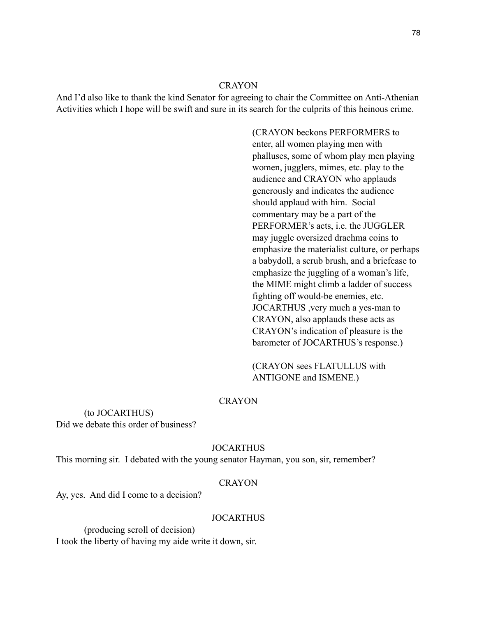And I'd also like to thank the kind Senator for agreeing to chair the Committee on Anti-Athenian Activities which I hope will be swift and sure in its search for the culprits of this heinous crime.

> (CRAYON beckons PERFORMERS to enter, all women playing men with phalluses, some of whom play men playing women, jugglers, mimes, etc. play to the audience and CRAYON who applauds generously and indicates the audience should applaud with him. Social commentary may be a part of the PERFORMER's acts, i.e. the JUGGLER may juggle oversized drachma coins to emphasize the materialist culture, or perhaps a babydoll, a scrub brush, and a briefcase to emphasize the juggling of a woman's life, the MIME might climb a ladder of success fighting off would-be enemies, etc. JOCARTHUS ,very much a yes-man to CRAYON, also applauds these acts as CRAYON's indication of pleasure is the barometer of JOCARTHUS's response.)

 (CRAYON sees FLATULLUS with ANTIGONE and ISMENE.)

#### CRAYON

 (to JOCARTHUS) Did we debate this order of business?

#### JOCARTHUS

This morning sir. I debated with the young senator Hayman, you son, sir, remember?

#### CRAYON

Ay, yes. And did I come to a decision?

#### JOCARTHUS

 (producing scroll of decision) I took the liberty of having my aide write it down, sir.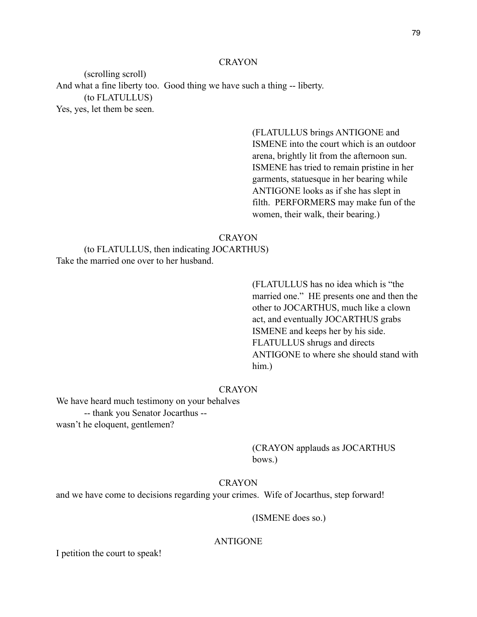(scrolling scroll) And what a fine liberty too. Good thing we have such a thing -- liberty. (to FLATULLUS) Yes, yes, let them be seen.

> (FLATULLUS brings ANTIGONE and ISMENE into the court which is an outdoor arena, brightly lit from the afternoon sun. ISMENE has tried to remain pristine in her garments, statuesque in her bearing while ANTIGONE looks as if she has slept in filth. PERFORMERS may make fun of the women, their walk, their bearing.)

#### **CRAYON**

 (to FLATULLUS, then indicating JOCARTHUS) Take the married one over to her husband.

 (FLATULLUS has no idea which is "the married one." HE presents one and then the other to JOCARTHUS, much like a clown act, and eventually JOCARTHUS grabs ISMENE and keeps her by his side. FLATULLUS shrugs and directs ANTIGONE to where she should stand with him.)

#### **CRAYON**

We have heard much testimony on your behalves -- thank you Senator Jocarthus - wasn't he eloquent, gentlemen?

> (CRAYON applauds as JOCARTHUS bows.)

#### **CRAYON**

and we have come to decisions regarding your crimes. Wife of Jocarthus, step forward!

(ISMENE does so.)

#### ANTIGONE

I petition the court to speak!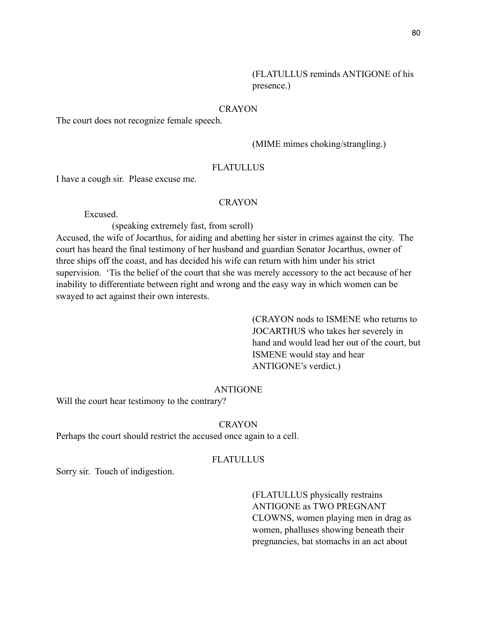The court does not recognize female speech.

(MIME mimes choking/strangling.)

# **FLATULLUS**

I have a cough sir. Please excuse me.

# CRAYON

Excused.

(speaking extremely fast, from scroll)

Accused, the wife of Jocarthus, for aiding and abetting her sister in crimes against the city. The court has heard the final testimony of her husband and guardian Senator Jocarthus, owner of three ships off the coast, and has decided his wife can return with him under his strict supervision. 'Tis the belief of the court that she was merely accessory to the act because of her inability to differentiate between right and wrong and the easy way in which women can be swayed to act against their own interests.

> (CRAYON nods to ISMENE who returns to JOCARTHUS who takes her severely in hand and would lead her out of the court, but ISMENE would stay and hear ANTIGONE's verdict.)

# ANTIGONE

Will the court hear testimony to the contrary?

# **CRAYON**

Perhaps the court should restrict the accused once again to a cell.

### **FLATULLUS**

Sorry sir. Touch of indigestion.

 (FLATULLUS physically restrains ANTIGONE as TWO PREGNANT CLOWNS, women playing men in drag as women, phalluses showing beneath their pregnancies, bat stomachs in an act about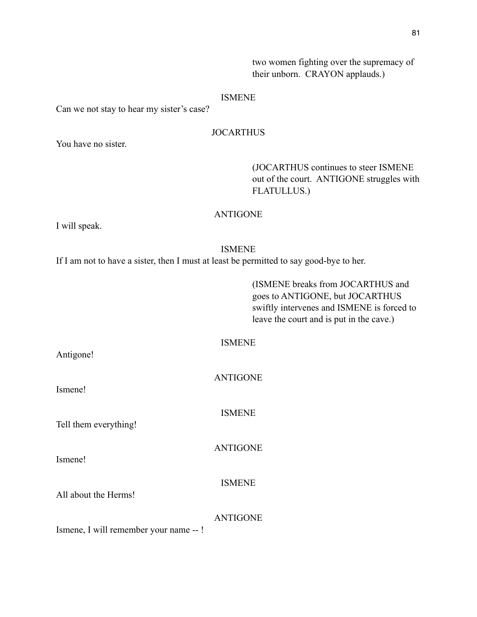two women fighting over the supremacy of their unborn. CRAYON applauds.)

#### ISMENE

Can we not stay to hear my sister's case?

# JOCARTHUS

You have no sister.

 (JOCARTHUS continues to steer ISMENE out of the court. ANTIGONE struggles with FLATULLUS.)

# ANTIGONE

I will speak.

Antigone!

Ismene!

Ismene!

# ISMENE

ISMENE

If I am not to have a sister, then I must at least be permitted to say good-bye to her.

 (ISMENE breaks from JOCARTHUS and goes to ANTIGONE, but JOCARTHUS swiftly intervenes and ISMENE is forced to leave the court and is put in the cave.)

| <b>ANTIGONE</b> |
|-----------------|
| <b>ISMENE</b>   |
| <b>ANTIGONE</b> |

ISMENE

All about the Herms!

Tell them everything!

ANTIGONE

Ismene, I will remember your name -- !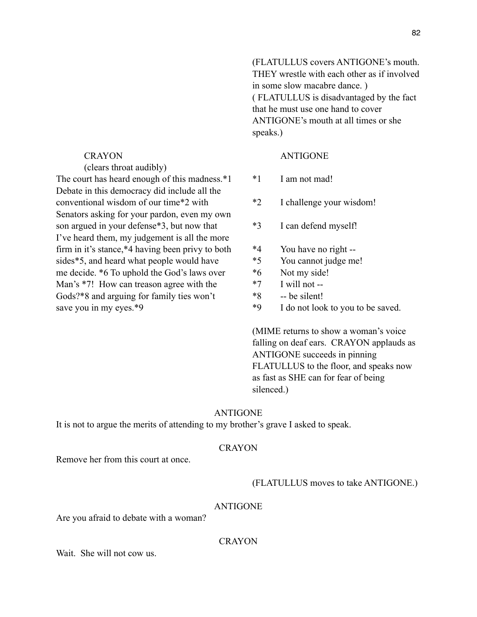(clears throat audibly) The court has heard enough of this madness.\*1 \*1 I am not mad! Debate in this democracy did include all the conventional wisdom of our time\*2 with \*2 I challenge your wisdom! Senators asking for your pardon, even my own son argued in your defense\*3, but now that  $*3$  I can defend myself! I've heard them, my judgement is all the more firm in it's stance,  $*4$  having been privy to both  $*4$  You have no right -sides\*5, and heard what people would have  $*5$  You cannot judge me! me decide. \*6 To uphold the God's laws over  $*6$  Not my side! Man's  $*7!$  How can treason agree with the  $*7$  I will not --Gods?\*8 and arguing for family ties won't  $*8$  -- be silent! save you in my eyes.\*9  $\qquad \qquad$  \*9 I do not look to you to be saved.

 (FLATULLUS covers ANTIGONE's mouth. THEY wrestle with each other as if involved in some slow macabre dance. ) ( FLATULLUS is disadvantaged by the fact that he must use one hand to cover ANTIGONE's mouth at all times or she speaks.)

# CRAYON ANTIGONE

- 
- 
- 
- 
- 
- 
- 
- 
- 

 (MIME returns to show a woman's voice falling on deaf ears. CRAYON applauds as ANTIGONE succeeds in pinning FLATULLUS to the floor, and speaks now as fast as SHE can for fear of being silenced.)

#### ANTIGONE

It is not to argue the merits of attending to my brother's grave I asked to speak.

#### **CRAYON**

Remove her from this court at once.

#### (FLATULLUS moves to take ANTIGONE.)

#### ANTIGONE

Are you afraid to debate with a woman?

#### CRAYON

Wait. She will not cow us.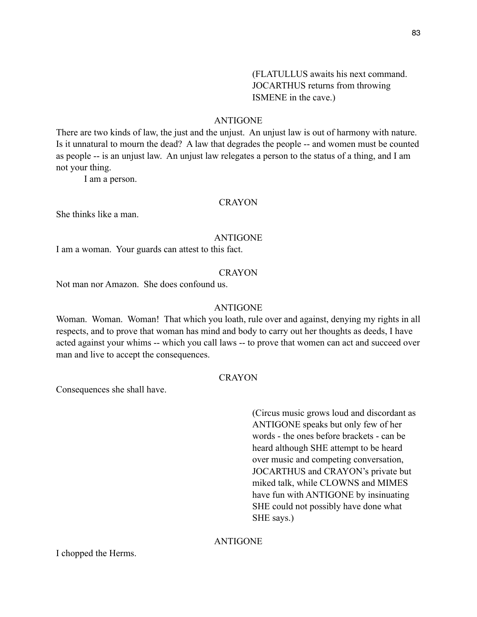(FLATULLUS awaits his next command. JOCARTHUS returns from throwing ISMENE in the cave.)

# ANTIGONE

There are two kinds of law, the just and the unjust. An unjust law is out of harmony with nature. Is it unnatural to mourn the dead? A law that degrades the people -- and women must be counted as people -- is an unjust law. An unjust law relegates a person to the status of a thing, and I am not your thing.

I am a person.

# **CRAYON**

She thinks like a man.

#### ANTIGONE

I am a woman. Your guards can attest to this fact.

#### CRAYON

Not man nor Amazon. She does confound us.

#### ANTIGONE

Woman. Woman. Woman! That which you loath, rule over and against, denying my rights in all respects, and to prove that woman has mind and body to carry out her thoughts as deeds, I have acted against your whims -- which you call laws -- to prove that women can act and succeed over man and live to accept the consequences.

# **CRAYON**

Consequences she shall have.

 (Circus music grows loud and discordant as ANTIGONE speaks but only few of her words - the ones before brackets - can be heard although SHE attempt to be heard over music and competing conversation, JOCARTHUS and CRAYON's private but miked talk, while CLOWNS and MIMES have fun with ANTIGONE by insinuating SHE could not possibly have done what SHE says.)

# ANTIGONE

I chopped the Herms.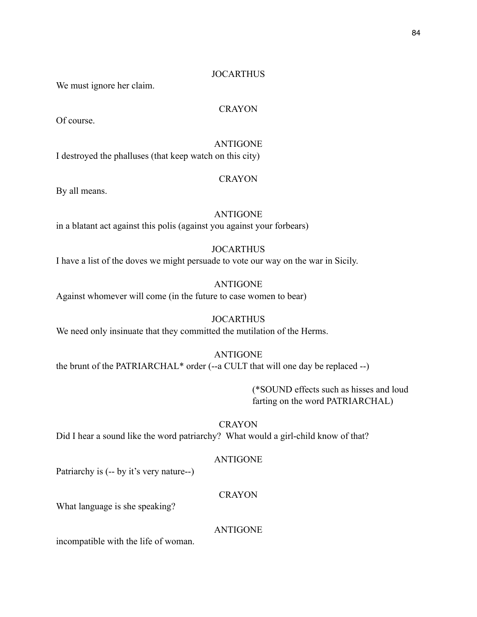# **JOCARTHUS**

We must ignore her claim.

# **CRAYON**

Of course.

# ANTIGONE

I destroyed the phalluses (that keep watch on this city)

# **CRAYON**

By all means.

# ANTIGONE

in a blatant act against this polis (against you against your forbears)

# JOCARTHUS

I have a list of the doves we might persuade to vote our way on the war in Sicily.

# ANTIGONE

Against whomever will come (in the future to case women to bear)

#### **JOCARTHUS**

We need only insinuate that they committed the mutilation of the Herms.

#### ANTIGONE

the brunt of the PATRIARCHAL\* order (--a CULT that will one day be replaced --)

 (\*SOUND effects such as hisses and loud farting on the word PATRIARCHAL)

**CRAYON** 

Did I hear a sound like the word patriarchy? What would a girl-child know of that?

# ANTIGONE

Patriarchy is (-- by it's very nature--)

# **CRAYON**

What language is she speaking?

#### ANTIGONE

incompatible with the life of woman.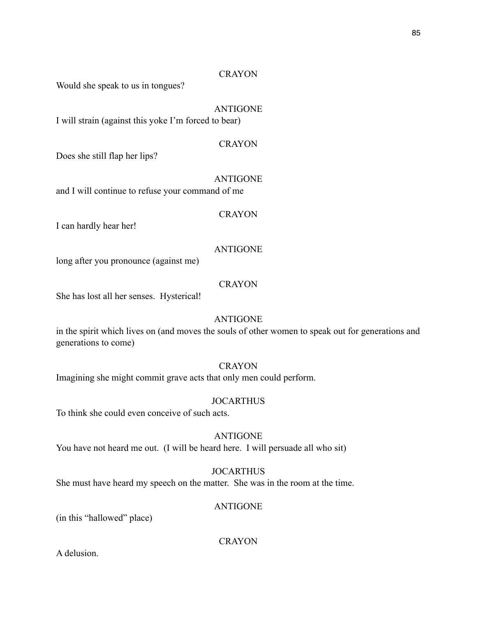Would she speak to us in tongues?

# ANTIGONE

I will strain (against this yoke I'm forced to bear)

CRAYON

Does she still flap her lips?

ANTIGONE

and I will continue to refuse your command of me

# **CRAYON**

I can hardly hear her!

# ANTIGONE

long after you pronounce (against me)

# **CRAYON**

She has lost all her senses. Hysterical!

# ANTIGONE

in the spirit which lives on (and moves the souls of other women to speak out for generations and generations to come)

# **CRAYON**

Imagining she might commit grave acts that only men could perform.

#### **JOCARTHUS**

To think she could even conceive of such acts.

# ANTIGONE You have not heard me out. (I will be heard here. I will persuade all who sit)

# JOCARTHUS

She must have heard my speech on the matter. She was in the room at the time.

# ANTIGONE

(in this "hallowed" place)

**CRAYON** 

A delusion.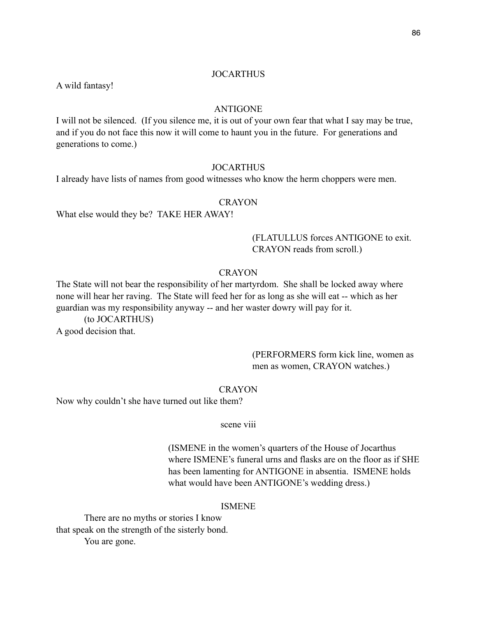#### **JOCARTHUS**

A wild fantasy!

#### ANTIGONE

I will not be silenced. (If you silence me, it is out of your own fear that what I say may be true, and if you do not face this now it will come to haunt you in the future. For generations and generations to come.)

#### **JOCARTHUS**

I already have lists of names from good witnesses who know the herm choppers were men.

#### CRAYON

What else would they be? TAKE HER AWAY!

# (FLATULLUS forces ANTIGONE to exit. CRAYON reads from scroll.)

#### CRAYON

The State will not bear the responsibility of her martyrdom. She shall be locked away where none will hear her raving. The State will feed her for as long as she will eat -- which as her guardian was my responsibility anyway -- and her waster dowry will pay for it.

 (to JOCARTHUS) A good decision that.

# (PERFORMERS form kick line, women as men as women, CRAYON watches.)

#### **CRAYON**

Now why couldn't she have turned out like them?

#### scene viii

 (ISMENE in the women's quarters of the House of Jocarthus where ISMENE's funeral urns and flasks are on the floor as if SHE has been lamenting for ANTIGONE in absentia. ISMENE holds what would have been ANTIGONE's wedding dress.)

#### ISMENE

 There are no myths or stories I know that speak on the strength of the sisterly bond. You are gone.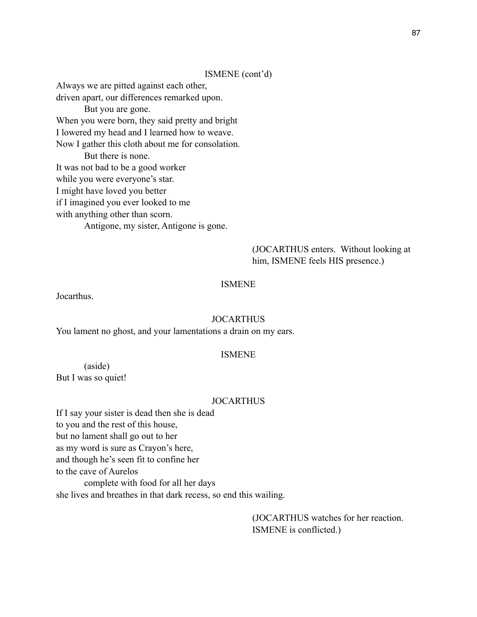#### ISMENE (cont'd)

Always we are pitted against each other, driven apart, our differences remarked upon. But you are gone. When you were born, they said pretty and bright I lowered my head and I learned how to weave. Now I gather this cloth about me for consolation. But there is none. It was not bad to be a good worker while you were everyone's star. I might have loved you better if I imagined you ever looked to me with anything other than scorn. Antigone, my sister, Antigone is gone.

# (JOCARTHUS enters. Without looking at him, ISMENE feels HIS presence.)

#### ISMENE

Jocarthus.

#### **JOCARTHUS**

You lament no ghost, and your lamentations a drain on my ears.

#### ISMENE

(aside)

But I was so quiet!

#### JOCARTHUS

If I say your sister is dead then she is dead to you and the rest of this house, but no lament shall go out to her as my word is sure as Crayon's here, and though he's seen fit to confine her to the cave of Aurelos complete with food for all her days

she lives and breathes in that dark recess, so end this wailing.

 (JOCARTHUS watches for her reaction. ISMENE is conflicted.)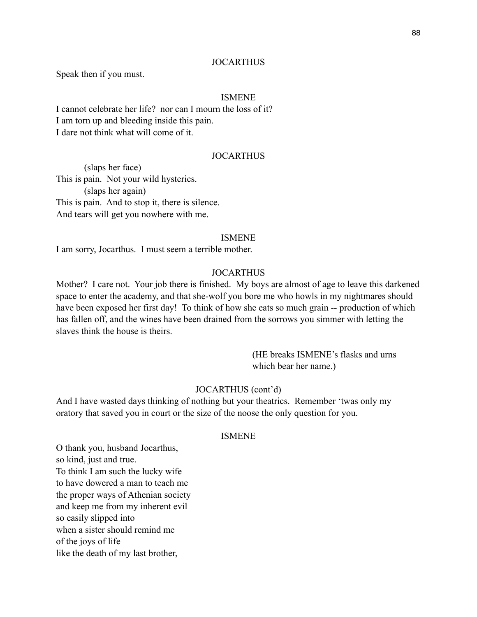#### **JOCARTHUS**

Speak then if you must.

#### ISMENE

I cannot celebrate her life? nor can I mourn the loss of it? I am torn up and bleeding inside this pain. I dare not think what will come of it.

### **JOCARTHUS**

 (slaps her face) This is pain. Not your wild hysterics. (slaps her again) This is pain. And to stop it, there is silence. And tears will get you nowhere with me.

#### ISMENE

I am sorry, Jocarthus. I must seem a terrible mother.

#### **JOCARTHUS**

Mother? I care not. Your job there is finished. My boys are almost of age to leave this darkened space to enter the academy, and that she-wolf you bore me who howls in my nightmares should have been exposed her first day! To think of how she eats so much grain -- production of which has fallen off, and the wines have been drained from the sorrows you simmer with letting the slaves think the house is theirs.

> (HE breaks ISMENE's flasks and urns which bear her name.)

# JOCARTHUS (cont'd)

And I have wasted days thinking of nothing but your theatrics. Remember 'twas only my oratory that saved you in court or the size of the noose the only question for you.

#### ISMENE

O thank you, husband Jocarthus, so kind, just and true. To think I am such the lucky wife to have dowered a man to teach me the proper ways of Athenian society and keep me from my inherent evil so easily slipped into when a sister should remind me of the joys of life like the death of my last brother,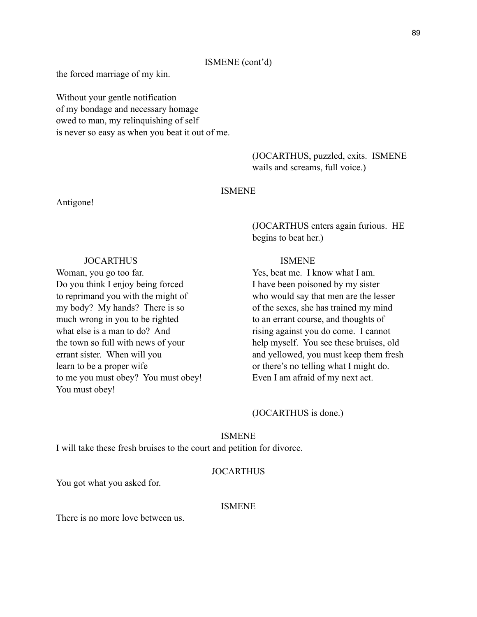#### ISMENE (cont'd)

the forced marriage of my kin.

Without your gentle notification of my bondage and necessary homage owed to man, my relinquishing of self is never so easy as when you beat it out of me.

> (JOCARTHUS, puzzled, exits. ISMENE wails and screams, full voice.)

#### ISMENE

#### Antigone!

# (JOCARTHUS enters again furious. HE begins to beat her.)

#### JOCARTHUS ISMENE

Woman, you go too far. The Section of the Yes, beat me. I know what I am. Do you think I enjoy being forced I have been poisoned by my sister to reprimand you with the might of who would say that men are the lesser my body? My hands? There is so of the sexes, she has trained my mind much wrong in you to be righted to an errant course, and thoughts of what else is a man to do? And rising against you do come. I cannot the town so full with news of your help myself. You see these bruises, old errant sister. When will you and yellowed, you must keep them fresh learn to be a proper wife or there's no telling what I might do. to me you must obey? You must obey! Even I am afraid of my next act.

# (JOCARTHUS is done.)

#### ISMENE

I will take these fresh bruises to the court and petition for divorce.

# **JOCARTHUS**

You got what you asked for.

You must obey!

#### ISMENE

There is no more love between us.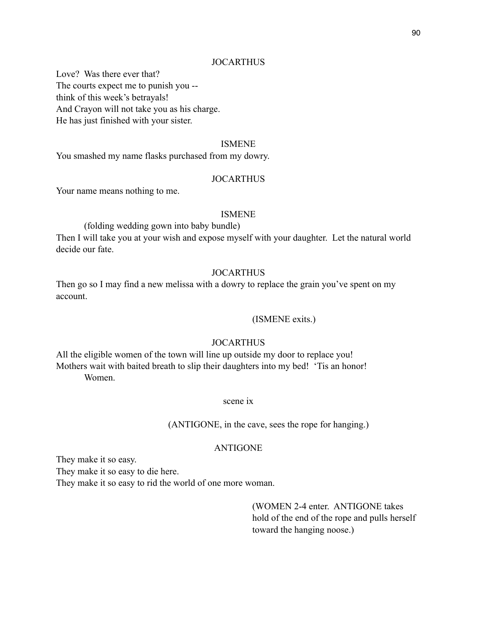#### **JOCARTHUS**

Love? Was there ever that? The courts expect me to punish you - think of this week's betrayals! And Crayon will not take you as his charge. He has just finished with your sister.

#### ISMENE

You smashed my name flasks purchased from my dowry.

#### **JOCARTHUS**

Your name means nothing to me.

#### ISMENE

(folding wedding gown into baby bundle)

Then I will take you at your wish and expose myself with your daughter. Let the natural world decide our fate.

#### **JOCARTHUS**

Then go so I may find a new melissa with a dowry to replace the grain you've spent on my account.

#### (ISMENE exits.)

# JOCARTHUS

All the eligible women of the town will line up outside my door to replace you! Mothers wait with baited breath to slip their daughters into my bed! 'Tis an honor! Women.

#### scene ix

(ANTIGONE, in the cave, sees the rope for hanging.)

#### ANTIGONE

They make it so easy.

They make it so easy to die here.

They make it so easy to rid the world of one more woman.

 (WOMEN 2-4 enter. ANTIGONE takes hold of the end of the rope and pulls herself toward the hanging noose.)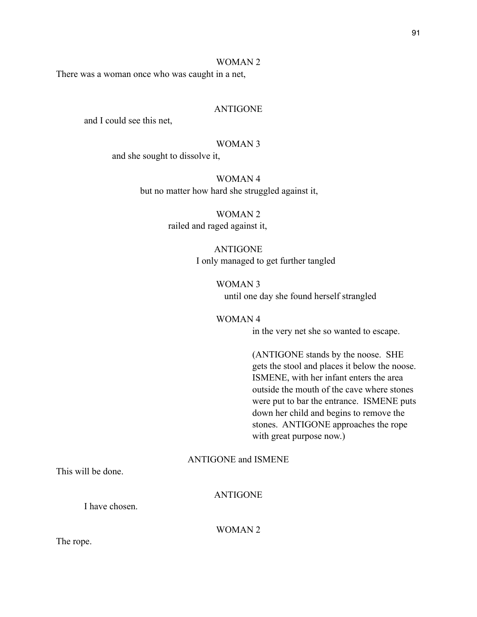#### WOMAN 2

There was a woman once who was caught in a net,

#### ANTIGONE

and I could see this net,

#### WOMAN 3

and she sought to dissolve it,

WOMAN 4 but no matter how hard she struggled against it,

> WOMAN 2 railed and raged against it,

#### ANTIGONE

I only managed to get further tangled

WOMAN 3 until one day she found herself strangled

#### WOMAN 4

in the very net she so wanted to escape.

 (ANTIGONE stands by the noose. SHE gets the stool and places it below the noose. ISMENE, with her infant enters the area outside the mouth of the cave where stones were put to bar the entrance. ISMENE puts down her child and begins to remove the stones. ANTIGONE approaches the rope with great purpose now.)

# ANTIGONE and ISMENE

This will be done.

ANTIGONE

I have chosen.

WOMAN 2

The rope.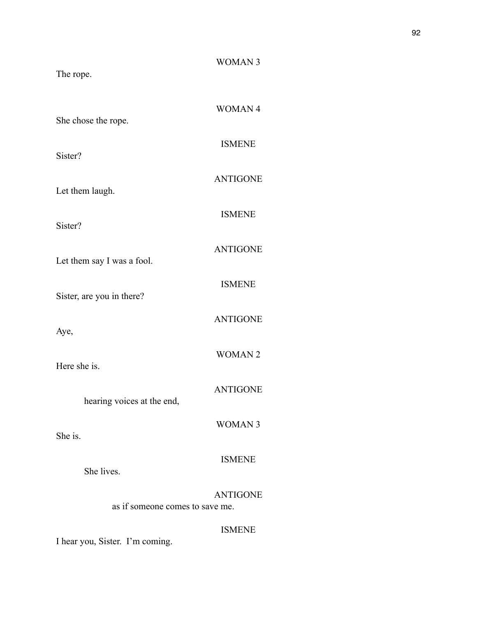| The rope.                       | <b>WOMAN 3</b>  |
|---------------------------------|-----------------|
| She chose the rope.             | <b>WOMAN4</b>   |
| Sister?                         | <b>ISMENE</b>   |
| Let them laugh.                 | <b>ANTIGONE</b> |
| Sister?                         | <b>ISMENE</b>   |
| Let them say I was a fool.      | <b>ANTIGONE</b> |
| Sister, are you in there?       | <b>ISMENE</b>   |
| Aye,                            | <b>ANTIGONE</b> |
| Here she is.                    | <b>WOMAN2</b>   |
| hearing voices at the end,      | <b>ANTIGONE</b> |
| She is.                         | <b>WOMAN3</b>   |
| She lives.                      | <b>ISMENE</b>   |
| as if someone comes to save me. | <b>ANTIGONE</b> |
|                                 | <b>ISMENE</b>   |

I hear you, Sister. I'm coming.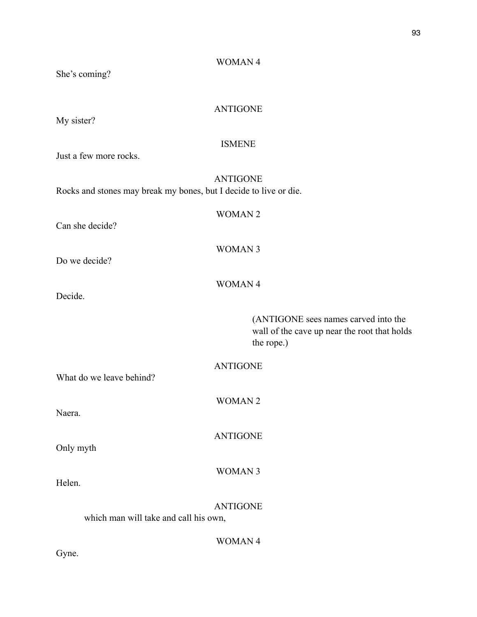# She's coming? ANTIGONE My sister? ISMENE Just a few more rocks. ANTIGONE Rocks and stones may break my bones, but I decide to live or die. WOMAN 2 Can she decide? WOMAN 3 Do we decide? WOMAN 4 Decide. (ANTIGONE sees names carved into the wall of the cave up near the root that holds the rope.) ANTIGONE What do we leave behind? WOMAN 2 Naera. ANTIGONE Only myth WOMAN 3 Helen. ANTIGONE which man will take and call his own, WOMAN 4 Gyne.

WOMAN 4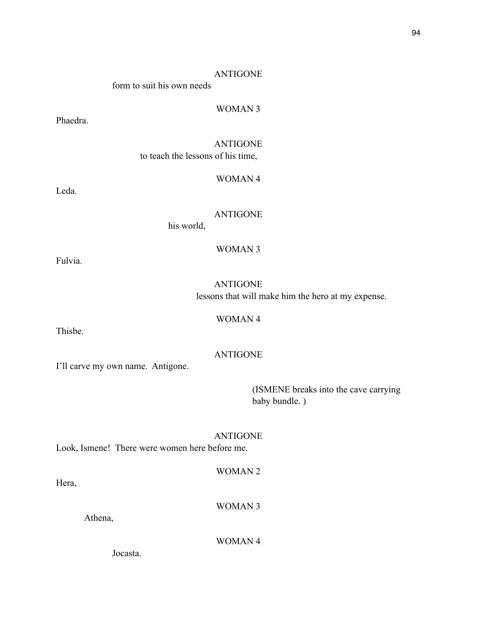form to suit his own needs

# WOMAN 3

Phaedra.

ANTIGONE to teach the lessons of his time,

#### WOMAN 4

Leda.

ANTIGONE

WOMAN 3

his world,

Fulvia.

ANTIGONE lessons that will make him the hero at my expense.

WOMAN 4

Thisbe.

I'll carve my own name. Antigone.

 (ISMENE breaks into the cave carrying baby bundle. )

ANTIGONE Look, Ismene! There were women here before me.

Hera,

WOMAN 3

WOMAN 2

Athena,

WOMAN 4

Jocasta.

# ANTIGONE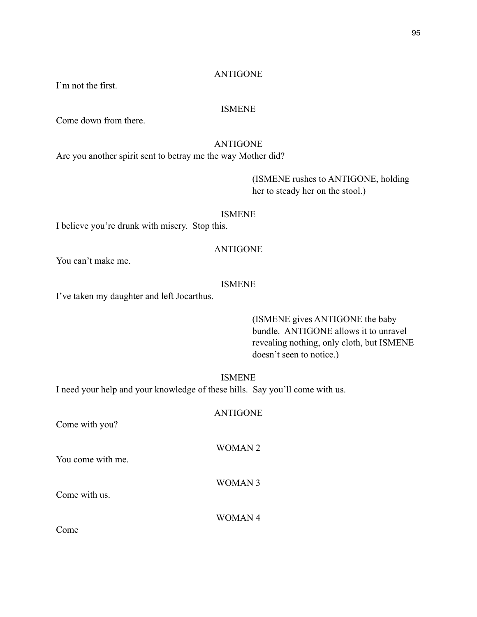I'm not the first.

#### ISMENE

Come down from there.

#### ANTIGONE

Are you another spirit sent to betray me the way Mother did?

 (ISMENE rushes to ANTIGONE, holding her to steady her on the stool.)

#### ISMENE

I believe you're drunk with misery. Stop this.

# ANTIGONE

You can't make me.

# ISMENE

I've taken my daughter and left Jocarthus.

 (ISMENE gives ANTIGONE the baby bundle. ANTIGONE allows it to unravel revealing nothing, only cloth, but ISMENE doesn't seen to notice.)

# ISMENE

ANTIGONE

WOMAN 2

I need your help and your knowledge of these hills. Say you'll come with us.

Come with you?

You come with me.

Come with us.

WOMAN 4

WOMAN 3

Come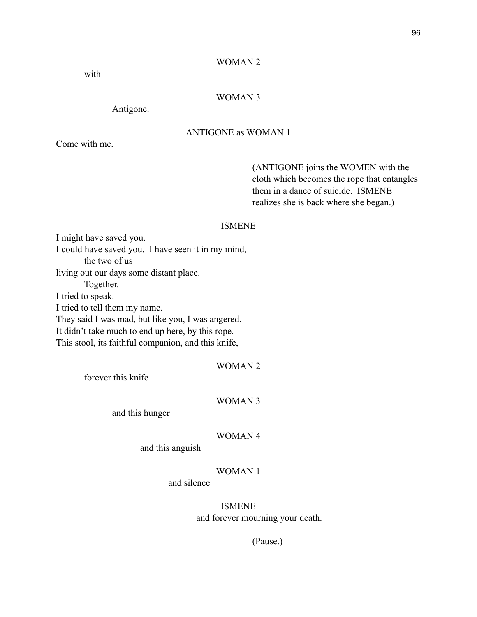#### WOMAN 2

with

# WOMAN 3

Antigone.

# ANTIGONE as WOMAN 1

Come with me.

 (ANTIGONE joins the WOMEN with the cloth which becomes the rope that entangles them in a dance of suicide. ISMENE realizes she is back where she began.)

#### ISMENE

I might have saved you. I could have saved you. I have seen it in my mind, the two of us living out our days some distant place. Together. I tried to speak. I tried to tell them my name. They said I was mad, but like you, I was angered. It didn't take much to end up here, by this rope. This stool, its faithful companion, and this knife,

| WOMAN 2 |  |  |  |
|---------|--|--|--|
|---------|--|--|--|

forever this knife

#### WOMAN 3

and this hunger

#### WOMAN 4

and this anguish

# WOMAN 1

and silence

ISMENE and forever mourning your death.

(Pause.)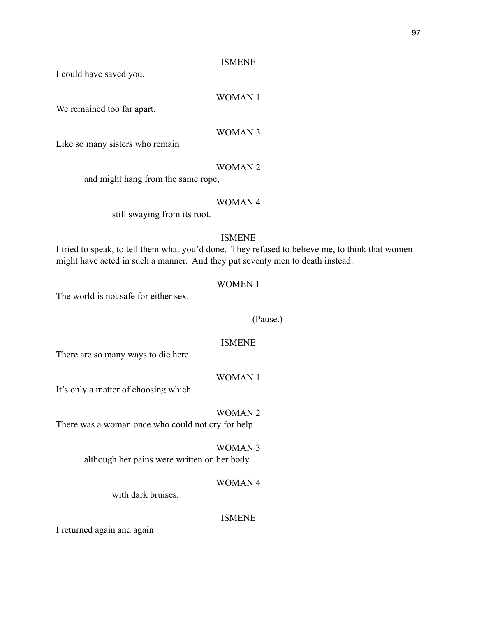I could have saved you.

# WOMAN 1

We remained too far apart.

# WOMAN 3

Like so many sisters who remain

# WOMAN 2

and might hang from the same rope,

# WOMAN 4

still swaying from its root.

# ISMENE

I tried to speak, to tell them what you'd done. They refused to believe me, to think that women might have acted in such a manner. And they put seventy men to death instead.

#### WOMEN 1

The world is not safe for either sex.

#### (Pause.)

#### ISMENE

There are so many ways to die here.

# WOMAN 1

It's only a matter of choosing which.

# WOMAN 2

There was a woman once who could not cry for help

#### WOMAN 3

although her pains were written on her body

# WOMAN 4

with dark bruises.

## ISMENE

I returned again and again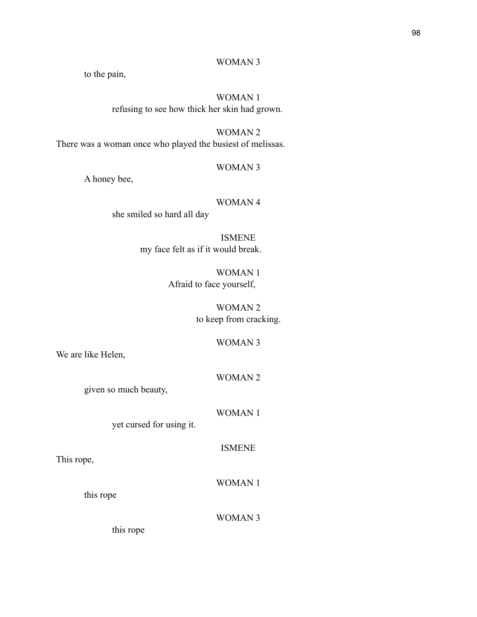# WOMAN 3

to the pain,

# WOMAN 1

refusing to see how thick her skin had grown.

# WOMAN 2

There was a woman once who played the busiest of melissas.

# WOMAN 3

A honey bee,

# WOMAN 4

she smiled so hard all day

ISMENE my face felt as if it would break.

> WOMAN 1 Afraid to face yourself,

> > WOMAN 2 to keep from cracking.

# WOMAN 3

We are like Helen,

#### WOMAN 2

given so much beauty,

WOMAN 1

yet cursed for using it.

# ISMENE

This rope,

WOMAN 1

this rope

WOMAN 3

this rope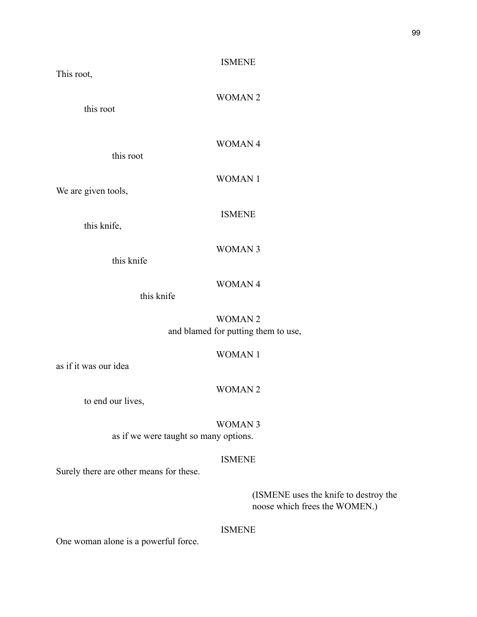This root,

WOMAN 2

this root

WOMAN 4

this root

WOMAN 1

We are given tools,

ISMENE

this knife,

WOMAN 3

this knife

# WOMAN 4

this knife

WOMAN 2 and blamed for putting them to use,

# WOMAN 1

as if it was our idea

#### WOMAN 2

to end our lives,

WOMAN 3 as if we were taught so many options.

# ISMENE

Surely there are other means for these.

 (ISMENE uses the knife to destroy the noose which frees the WOMEN.)

# ISMENE

One woman alone is a powerful force.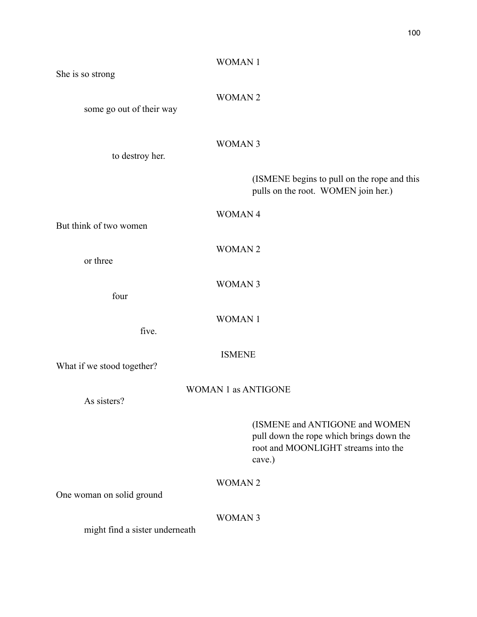| She is so strong               | <b>WOMAN1</b>                                                                                                               |
|--------------------------------|-----------------------------------------------------------------------------------------------------------------------------|
| some go out of their way       | <b>WOMAN2</b>                                                                                                               |
| to destroy her.                | <b>WOMAN 3</b>                                                                                                              |
|                                | (ISMENE begins to pull on the rope and this<br>pulls on the root. WOMEN join her.)                                          |
| But think of two women         | WOMAN 4                                                                                                                     |
| or three                       | <b>WOMAN2</b>                                                                                                               |
| four                           | <b>WOMAN 3</b>                                                                                                              |
| five.                          | <b>WOMAN1</b>                                                                                                               |
| What if we stood together?     | <b>ISMENE</b>                                                                                                               |
| As sisters?                    | <b>WOMAN 1 as ANTIGONE</b>                                                                                                  |
|                                | (ISMENE and ANTIGONE and WOMEN<br>pull down the rope which brings down the<br>root and MOONLIGHT streams into the<br>cave.) |
| One woman on solid ground      | <b>WOMAN2</b>                                                                                                               |
| might find a sister underneath | <b>WOMAN 3</b>                                                                                                              |